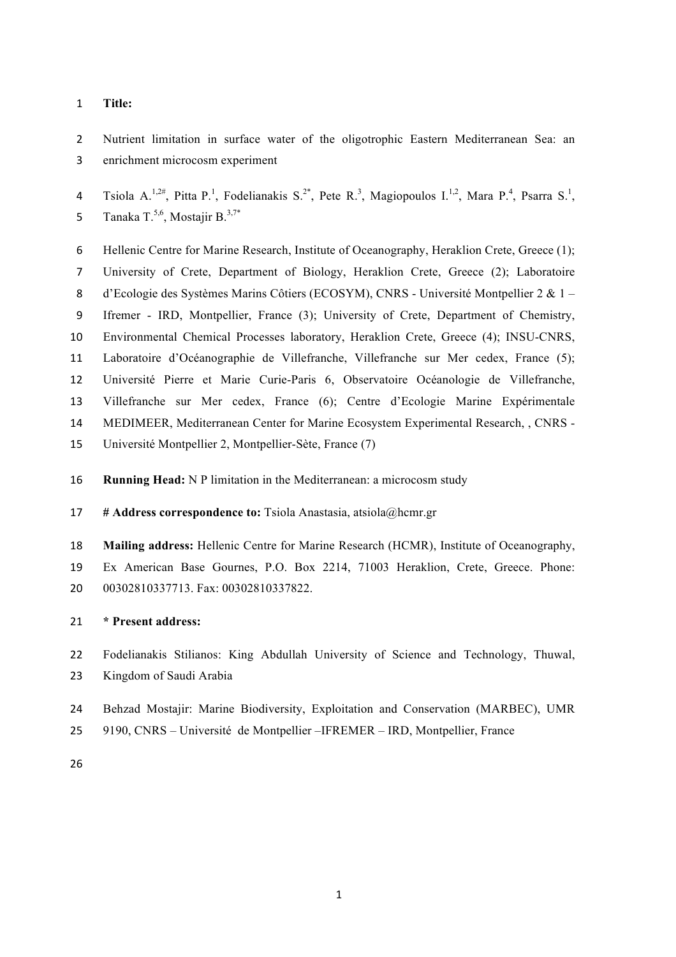**Title:**

 Nutrient limitation in surface water of the oligotrophic Eastern Mediterranean Sea: an enrichment microcosm experiment

4 Tsiola A.<sup>1,2#</sup>, Pitta P.<sup>1</sup>, Fodelianakis S.<sup>2\*</sup>, Pete R.<sup>3</sup>, Magiopoulos I.<sup>1,2</sup>, Mara P.<sup>4</sup>, Psarra S.<sup>1</sup>, 5 Tanaka T.<sup>5,6</sup>, Mostajir B.<sup>3,7\*</sup>

 Hellenic Centre for Marine Research, Institute of Oceanography, Heraklion Crete, Greece (1); University of Crete, Department of Biology, Heraklion Crete, Greece (2); Laboratoire d'Ecologie des Systèmes Marins Côtiers (ECOSYM), CNRS - Université Montpellier 2 & 1 – Ifremer - IRD, Montpellier, France (3); University of Crete, Department of Chemistry, Environmental Chemical Processes laboratory, Heraklion Crete, Greece (4); INSU-CNRS, Laboratoire d'Océanographie de Villefranche, Villefranche sur Mer cedex, France (5); Université Pierre et Marie Curie-Paris 6, Observatoire Océanologie de Villefranche, Villefranche sur Mer cedex, France (6); Centre d'Ecologie Marine Expérimentale MEDIMEER, Mediterranean Center for Marine Ecosystem Experimental Research, , CNRS - Université Montpellier 2, Montpellier-Sète, France (7)

**Running Head:** N P limitation in the Mediterranean: a microcosm study

**# Address correspondence to:** Tsiola Anastasia, atsiola@hcmr.gr

 **Mailing address:** Hellenic Centre for Marine Research (HCMR), Institute of Oceanography, Ex American Base Gournes, P.O. Box 2214, 71003 Heraklion, Crete, Greece. Phone: 00302810337713. Fax: 00302810337822.

#### **\* Present address:**

 Fodelianakis Stilianos: King Abdullah University of Science and Technology, Thuwal, Kingdom of Saudi Arabia

- Behzad Mostajir: Marine Biodiversity, Exploitation and Conservation (MARBEC), UMR
- 9190, CNRS Université de Montpellier –IFREMER IRD, Montpellier, France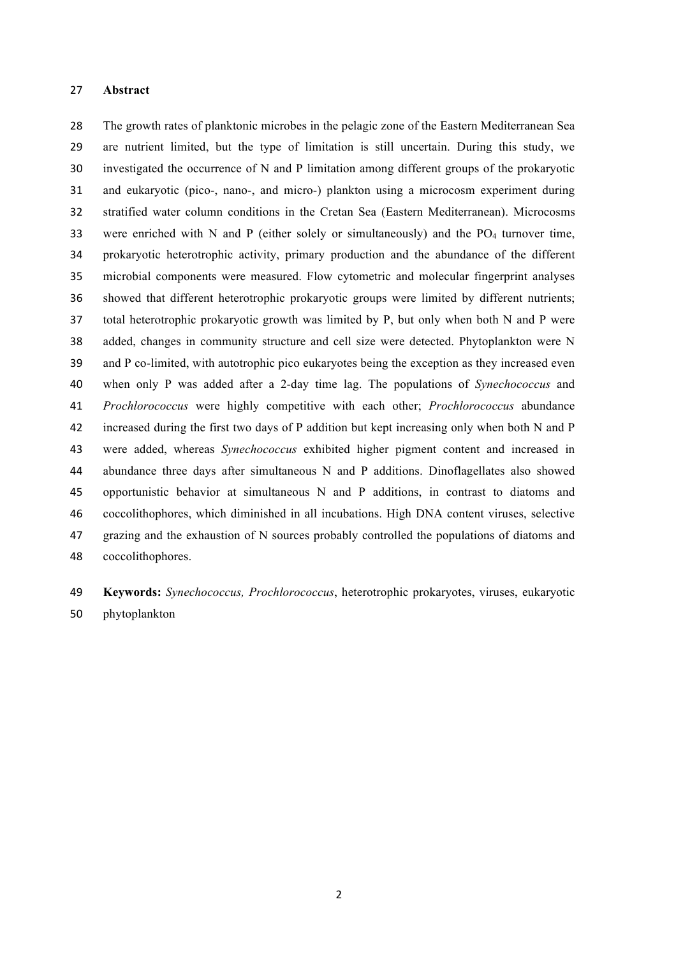#### **Abstract**

 The growth rates of planktonic microbes in the pelagic zone of the Eastern Mediterranean Sea are nutrient limited, but the type of limitation is still uncertain. During this study, we investigated the occurrence of N and P limitation among different groups of the prokaryotic and eukaryotic (pico-, nano-, and micro-) plankton using a microcosm experiment during stratified water column conditions in the Cretan Sea (Eastern Mediterranean). Microcosms 33 were enriched with N and P (either solely or simultaneously) and the  $PO_4$  turnover time, prokaryotic heterotrophic activity, primary production and the abundance of the different microbial components were measured. Flow cytometric and molecular fingerprint analyses showed that different heterotrophic prokaryotic groups were limited by different nutrients; total heterotrophic prokaryotic growth was limited by P, but only when both N and P were added, changes in community structure and cell size were detected. Phytoplankton were N and P co-limited, with autotrophic pico eukaryotes being the exception as they increased even when only P was added after a 2-day time lag. The populations of *Synechococcus* and *Prochlorococcus* were highly competitive with each other; *Prochlorococcus* abundance increased during the first two days of P addition but kept increasing only when both N and P were added, whereas *Synechococcus* exhibited higher pigment content and increased in abundance three days after simultaneous N and P additions. Dinoflagellates also showed opportunistic behavior at simultaneous N and P additions, in contrast to diatoms and coccolithophores, which diminished in all incubations. High DNA content viruses, selective grazing and the exhaustion of N sources probably controlled the populations of diatoms and coccolithophores.

 **Keywords:** *Synechococcus, Prochlorococcus*, heterotrophic prokaryotes, viruses, eukaryotic phytoplankton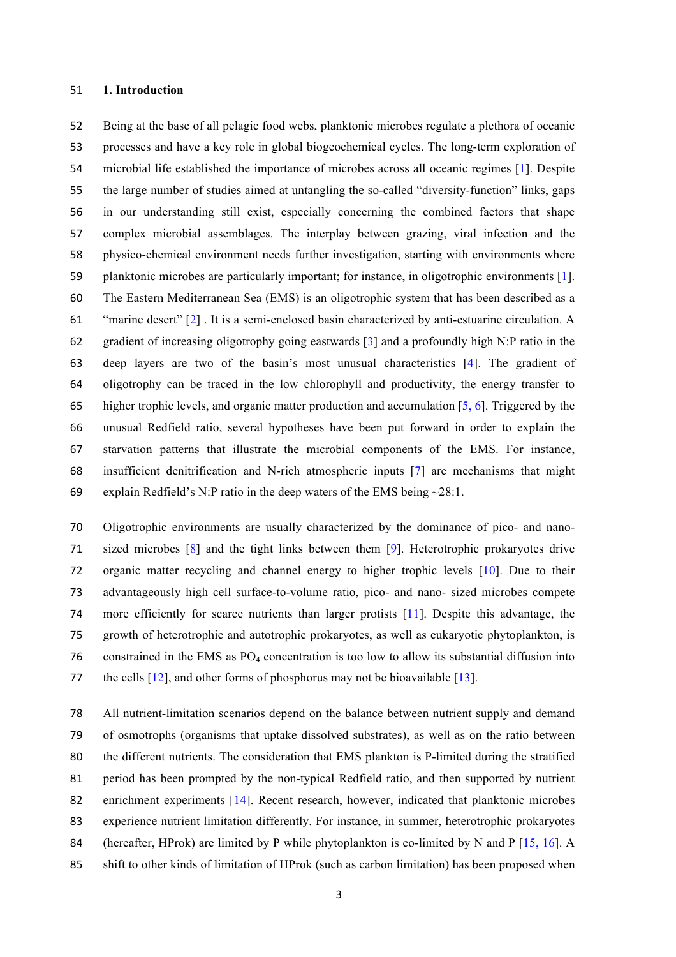#### **1. Introduction**

 Being at the base of all pelagic food webs, planktonic microbes regulate a plethora of oceanic processes and have a key role in global biogeochemical cycles. The long-term exploration of microbial life established the importance of microbes across all oceanic regimes [1]. Despite the large number of studies aimed at untangling the so-called "diversity-function" links, gaps in our understanding still exist, especially concerning the combined factors that shape complex microbial assemblages. The interplay between grazing, viral infection and the physico-chemical environment needs further investigation, starting with environments where planktonic microbes are particularly important; for instance, in oligotrophic environments [1]. The Eastern Mediterranean Sea (EMS) is an oligotrophic system that has been described as a "marine desert" [2] . It is a semi-enclosed basin characterized by anti-estuarine circulation. A gradient of increasing oligotrophy going eastwards [3] and a profoundly high N:P ratio in the deep layers are two of the basin's most unusual characteristics [4]. The gradient of oligotrophy can be traced in the low chlorophyll and productivity, the energy transfer to higher trophic levels, and organic matter production and accumulation [5, 6]. Triggered by the unusual Redfield ratio, several hypotheses have been put forward in order to explain the starvation patterns that illustrate the microbial components of the EMS. For instance, insufficient denitrification and N-rich atmospheric inputs [7] are mechanisms that might 69 explain Redfield's N:P ratio in the deep waters of the EMS being  $\sim$ 28:1.

 Oligotrophic environments are usually characterized by the dominance of pico- and nano- sized microbes [8] and the tight links between them [9]. Heterotrophic prokaryotes drive organic matter recycling and channel energy to higher trophic levels [10]. Due to their advantageously high cell surface-to-volume ratio, pico- and nano- sized microbes compete more efficiently for scarce nutrients than larger protists [11]. Despite this advantage, the growth of heterotrophic and autotrophic prokaryotes, as well as eukaryotic phytoplankton, is constrained in the EMS as PO4 concentration is too low to allow its substantial diffusion into 77 the cells [12], and other forms of phosphorus may not be bioavailable [13].

 All nutrient-limitation scenarios depend on the balance between nutrient supply and demand of osmotrophs (organisms that uptake dissolved substrates), as well as on the ratio between the different nutrients. The consideration that EMS plankton is P-limited during the stratified period has been prompted by the non-typical Redfield ratio, and then supported by nutrient enrichment experiments [14]. Recent research, however, indicated that planktonic microbes experience nutrient limitation differently. For instance, in summer, heterotrophic prokaryotes 84 (hereafter, HProk) are limited by P while phytoplankton is co-limited by N and P  $[15, 16]$ . A shift to other kinds of limitation of HProk (such as carbon limitation) has been proposed when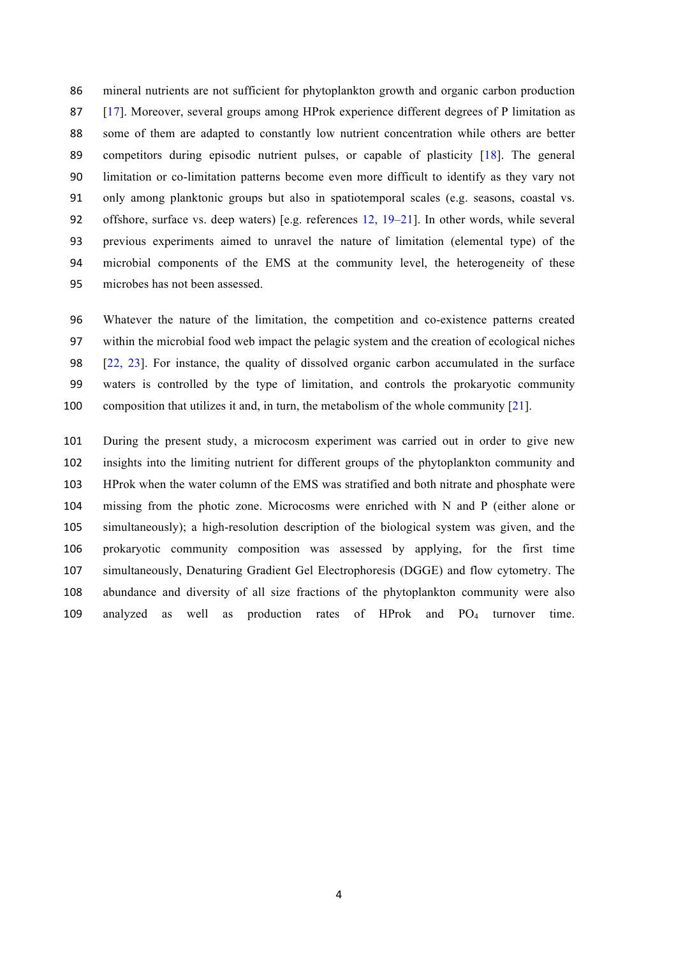mineral nutrients are not sufficient for phytoplankton growth and organic carbon production [17]. Moreover, several groups among HProk experience different degrees of P limitation as some of them are adapted to constantly low nutrient concentration while others are better 89 competitors during episodic nutrient pulses, or capable of plasticity [18]. The general limitation or co-limitation patterns become even more difficult to identify as they vary not only among planktonic groups but also in spatiotemporal scales (e.g. seasons, coastal vs. 92 offshore, surface vs. deep waters) [e.g. references 12, 19–21]. In other words, while several previous experiments aimed to unravel the nature of limitation (elemental type) of the microbial components of the EMS at the community level, the heterogeneity of these microbes has not been assessed.

 Whatever the nature of the limitation, the competition and co-existence patterns created within the microbial food web impact the pelagic system and the creation of ecological niches [22, 23]. For instance, the quality of dissolved organic carbon accumulated in the surface waters is controlled by the type of limitation, and controls the prokaryotic community composition that utilizes it and, in turn, the metabolism of the whole community [21].

 During the present study, a microcosm experiment was carried out in order to give new insights into the limiting nutrient for different groups of the phytoplankton community and HProk when the water column of the EMS was stratified and both nitrate and phosphate were missing from the photic zone. Microcosms were enriched with N and P (either alone or simultaneously); a high-resolution description of the biological system was given, and the prokaryotic community composition was assessed by applying, for the first time simultaneously, Denaturing Gradient Gel Electrophoresis (DGGE) and flow cytometry. The abundance and diversity of all size fractions of the phytoplankton community were also 109 analyzed as well as production rates of HProk and  $PO_4$  turnover time.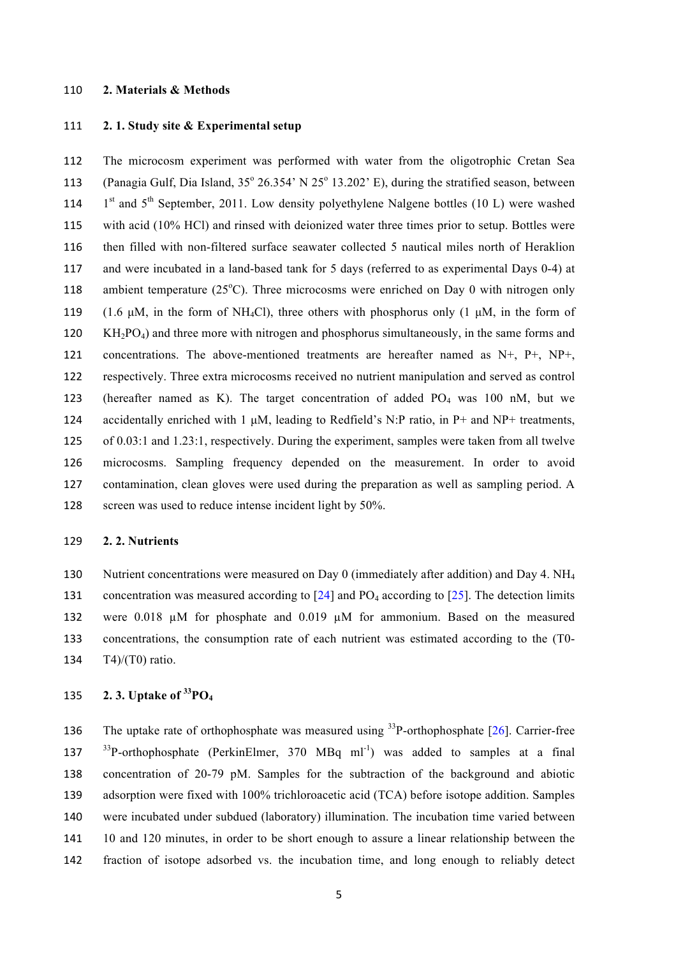#### **2. Materials & Methods**

#### **2. 1. Study site & Experimental setup**

 The microcosm experiment was performed with water from the oligotrophic Cretan Sea 113 (Panagia Gulf, Dia Island,  $35^{\circ}$  26.354' N  $25^{\circ}$  13.202' E), during the stratified season, between  $1^{st}$  and  $5^{th}$  September, 2011. Low density polyethylene Nalgene bottles (10 L) were washed with acid (10% HCl) and rinsed with deionized water three times prior to setup. Bottles were then filled with non-filtered surface seawater collected 5 nautical miles north of Heraklion and were incubated in a land-based tank for 5 days (referred to as experimental Days 0-4) at 118 ambient temperature  $(25^{\circ}C)$ . Three microcosms were enriched on Day 0 with nitrogen only 119 (1.6  $\mu$ M, in the form of NH<sub>4</sub>Cl), three others with phosphorus only (1  $\mu$ M, in the form of 120 KH<sub>2</sub>PO<sub>4</sub>) and three more with nitrogen and phosphorus simultaneously, in the same forms and concentrations. The above-mentioned treatments are hereafter named as N+, P+, NP+, respectively. Three extra microcosms received no nutrient manipulation and served as control 123 (hereafter named as K). The target concentration of added  $PO<sub>4</sub>$  was 100 nM, but we 124 accidentally enriched with 1  $\mu$ M, leading to Redfield's N:P ratio, in P+ and NP+ treatments, of 0.03:1 and 1.23:1, respectively. During the experiment, samples were taken from all twelve microcosms. Sampling frequency depended on the measurement. In order to avoid contamination, clean gloves were used during the preparation as well as sampling period. A screen was used to reduce intense incident light by 50%.

# **2. 2. Nutrients**

130 Nutrient concentrations were measured on Day 0 (immediately after addition) and Day 4.  $NH<sub>4</sub>$ 131 concentration was measured according to  $[24]$  and PO<sub>4</sub> according to  $[25]$ . The detection limits were 0.018 µM for phosphate and 0.019 µM for ammonium. Based on the measured concentrations, the consumption rate of each nutrient was estimated according to the (T0- 134  $T4/(T0)$  ratio.

# **2. 3. Uptake of <sup>33</sup> PO<sub>4</sub>**

136 The uptake rate of orthophosphate was measured using  $33P$ -orthophosphate [26]. Carrier-free  $33P$ -orthophosphate (PerkinElmer, 370 MBq ml<sup>-1</sup>) was added to samples at a final concentration of 20-79 pM. Samples for the subtraction of the background and abiotic adsorption were fixed with 100% trichloroacetic acid (TCA) before isotope addition. Samples were incubated under subdued (laboratory) illumination. The incubation time varied between 10 and 120 minutes, in order to be short enough to assure a linear relationship between the fraction of isotope adsorbed vs. the incubation time, and long enough to reliably detect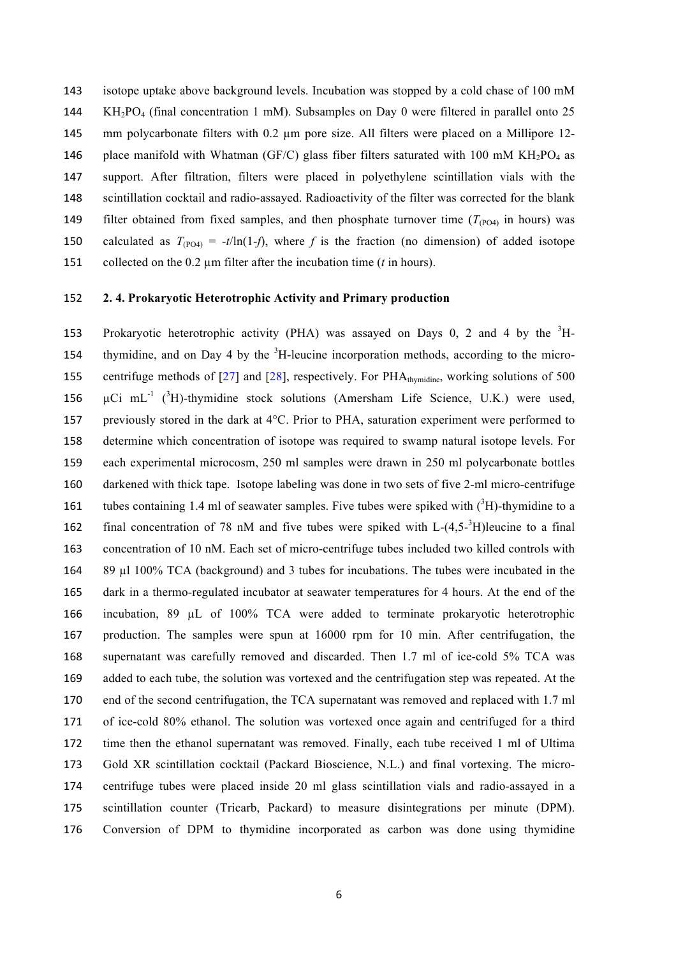isotope uptake above background levels. Incubation was stopped by a cold chase of 100 mM 144 KH<sub>2</sub>PO<sub>4</sub> (final concentration 1 mM). Subsamples on Day 0 were filtered in parallel onto 25 145 mm polycarbonate filters with 0.2 µm pore size. All filters were placed on a Millipore 12-146 place manifold with Whatman (GF/C) glass fiber filters saturated with 100 mM  $KH_2PO_4$  as support. After filtration, filters were placed in polyethylene scintillation vials with the scintillation cocktail and radio-assayed. Radioactivity of the filter was corrected for the blank 149 filter obtained from fixed samples, and then phosphate turnover time  $(T_{(P<sub>1</sub>))}$  in hours) was 150 calculated as  $T_{(PO4)} = -t/\ln(1-f)$ , where f is the fraction (no dimension) of added isotope collected on the 0.2 µm filter after the incubation time (*t* in hours).

## **2. 4. Prokaryotic Heterotrophic Activity and Primary production**

153 Prokaryotic heterotrophic activity (PHA) was assayed on Days , 2 and 4 by the  ${}^{3}$ H-154 thymidine, and on Day 4 by the  ${}^{3}$ H-leucine incorporation methods, according to the micro-155 centrifuge methods of [27] and [28], respectively. For PHA<sub>thymidine</sub>, working solutions of 500  $\mu$ Ci mL<sup>-1</sup> (<sup>3</sup>H)-thymidine stock solutions (Amersham Life Science, U.K.) were used, previously stored in the dark at 4°C. Prior to PHA, saturation experiment were performed to determine which concentration of isotope was required to swamp natural isotope levels. For each experimental microcosm, 250 ml samples were drawn in 250 ml polycarbonate bottles darkened with thick tape. Isotope labeling was done in two sets of five 2-ml micro-centrifuge 161 tubes containing 1.4 ml of seawater samples. Five tubes were spiked with  $({}^{3}H)$ -thymidine to a 162 final concentration of 78 nM and five tubes were spiked with  $L-(4,5^{-3}H)$  leucine to a final concentration of 10 nM. Each set of micro-centrifuge tubes included two killed controls with 89 µl 100% TCA (background) and 3 tubes for incubations. The tubes were incubated in the dark in a thermo-regulated incubator at seawater temperatures for 4 hours. At the end of the incubation, 89 µL of 100% TCA were added to terminate prokaryotic heterotrophic production. The samples were spun at 16000 rpm for 10 min. After centrifugation, the supernatant was carefully removed and discarded. Then 1.7 ml of ice-cold 5% TCA was added to each tube, the solution was vortexed and the centrifugation step was repeated. At the end of the second centrifugation, the TCA supernatant was removed and replaced with 1.7 ml of ice-cold 80% ethanol. The solution was vortexed once again and centrifuged for a third time then the ethanol supernatant was removed. Finally, each tube received 1 ml of Ultima Gold XR scintillation cocktail (Packard Bioscience, N.L.) and final vortexing. The micro- centrifuge tubes were placed inside 20 ml glass scintillation vials and radio-assayed in a scintillation counter (Tricarb, Packard) to measure disintegrations per minute (DPM). Conversion of DPM to thymidine incorporated as carbon was done using thymidine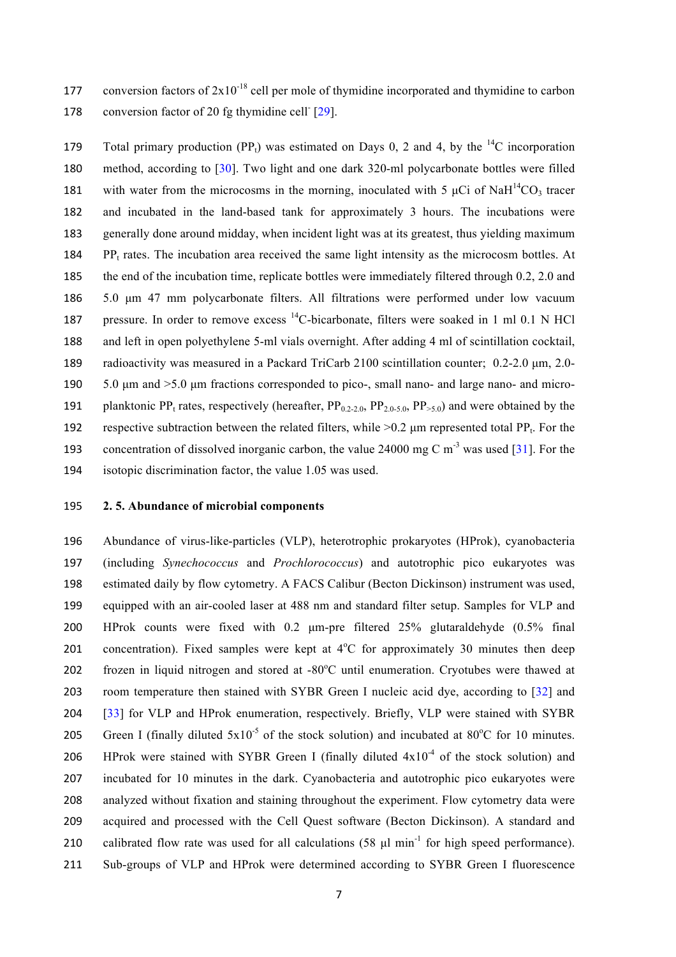177 conversion factors of  $2x10^{-18}$  cell per mole of thymidine incorporated and thymidine to carbon 178 conversion factor of 20 fg thymidine cell<sup>[29]</sup>.

179 Total primary production (PP<sub>t</sub>) was estimated on Days 0, 2 and 4, by the <sup>14</sup>C incorporation method, according to [30]. Two light and one dark 320-ml polycarbonate bottles were filled 181 with water from the microcosms in the morning, inoculated with 5  $\mu$ Ci of NaH<sup>14</sup>CO<sub>3</sub> tracer and incubated in the land-based tank for approximately 3 hours. The incubations were generally done around midday, when incident light was at its greatest, thus yielding maximum PP<sub>t</sub> rates. The incubation area received the same light intensity as the microcosm bottles. At the end of the incubation time, replicate bottles were immediately filtered through 0.2, 2.0 and 5.0 µm 47 mm polycarbonate filters. All filtrations were performed under low vacuum 187 pressure. In order to remove excess  $^{14}$ C-bicarbonate, filters were soaked in 1 ml 0.1 N HCl and left in open polyethylene 5-ml vials overnight. After adding 4 ml of scintillation cocktail, 189 radioactivity was measured in a Packard TriCarb 2100 scintillation counter; 0.2-2.0  $\mu$ m, 2.0- 5.0 µm and >5.0 µm fractions corresponded to pico-, small nano- and large nano- and micro-191 planktonic PP<sub>t</sub> rates, respectively (hereafter,  $PP_{0.2-2.0}$ ,  $PP_{2.0-5.0}$ ,  $PP_{>5.0}$ ) and were obtained by the 192 respective subtraction between the related filters, while  $>0.2 \mu m$  represented total PP<sub>t</sub>. For the 193 concentration of dissolved inorganic carbon, the value 24000 mg C  $m<sup>-3</sup>$  was used [31]. For the isotopic discrimination factor, the value 1.05 was used.

#### **2. 5. Abundance of microbial components**

 Abundance of virus-like-particles (VLP), heterotrophic prokaryotes (HProk), cyanobacteria (including *Synechococcus* and *Prochlorococcus*) and autotrophic pico eukaryotes was estimated daily by flow cytometry. A FACS Calibur (Becton Dickinson) instrument was used, equipped with an air-cooled laser at 488 nm and standard filter setup. Samples for VLP and HProk counts were fixed with 0.2 µm-pre filtered 25% glutaraldehyde (0.5% final 201 concentration). Fixed samples were kept at  $4^{\circ}$ C for approximately 30 minutes then deep 202 frozen in liquid nitrogen and stored at  $-80^{\circ}$ C until enumeration. Cryotubes were thawed at room temperature then stained with SYBR Green I nucleic acid dye, according to [32] and [33] for VLP and HProk enumeration, respectively. Briefly, VLP were stained with SYBR 205 Green I (finally diluted  $5x10^{-5}$  of the stock solution) and incubated at 80<sup>o</sup>C for 10 minutes. 206 HProk were stained with SYBR Green I (finally diluted  $4x10^{-4}$  of the stock solution) and incubated for 10 minutes in the dark. Cyanobacteria and autotrophic pico eukaryotes were analyzed without fixation and staining throughout the experiment. Flow cytometry data were acquired and processed with the Cell Quest software (Becton Dickinson). A standard and 210 calibrated flow rate was used for all calculations  $(58 \text{ µl min}^{-1}$  for high speed performance). Sub-groups of VLP and HProk were determined according to SYBR Green I fluorescence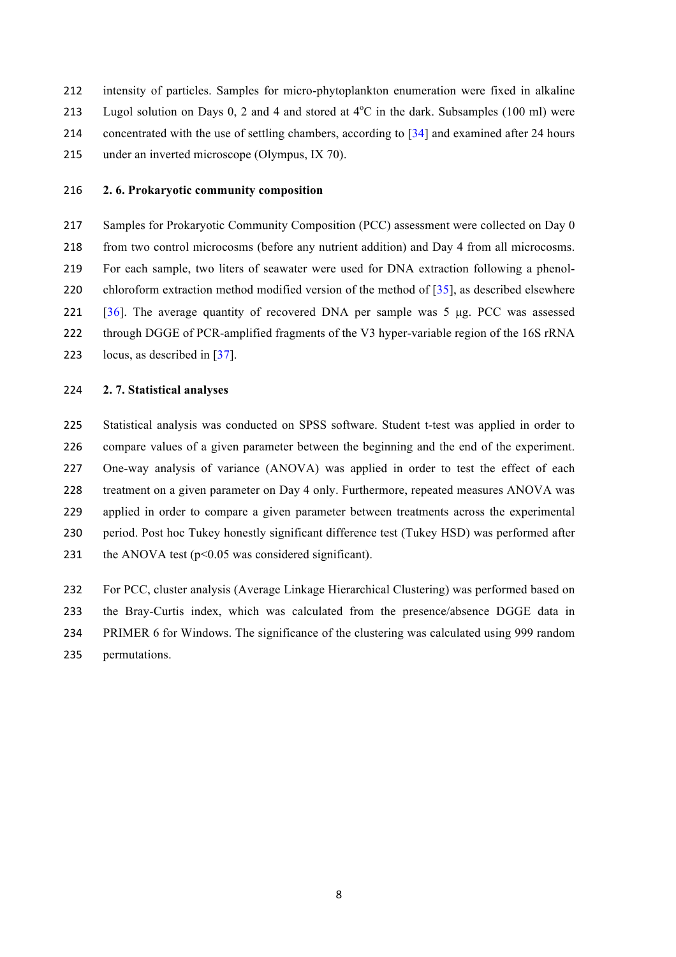intensity of particles. Samples for micro-phytoplankton enumeration were fixed in alkaline 213 Lugol solution on Days 0, 2 and 4 and stored at  $4^{\circ}$ C in the dark. Subsamples (100 ml) were concentrated with the use of settling chambers, according to [34] and examined after 24 hours under an inverted microscope (Olympus, IX 70).

#### **2. 6. Prokaryotic community composition**

217 Samples for Prokaryotic Community Composition (PCC) assessment were collected on Day 0 from two control microcosms (before any nutrient addition) and Day 4 from all microcosms. For each sample, two liters of seawater were used for DNA extraction following a phenol-220 chloroform extraction method modified version of the method of  $[35]$ , as described elsewhere 221 [36]. The average quantity of recovered DNA per sample was  $5 \mu g$ . PCC was assessed 222 through DGGE of PCR-amplified fragments of the V3 hyper-variable region of the 16S rRNA locus, as described in [37].

#### **2. 7. Statistical analyses**

 Statistical analysis was conducted on SPSS software. Student t-test was applied in order to compare values of a given parameter between the beginning and the end of the experiment. One-way analysis of variance (ANOVA) was applied in order to test the effect of each 228 treatment on a given parameter on Day 4 only. Furthermore, repeated measures ANOVA was applied in order to compare a given parameter between treatments across the experimental 230 period. Post hoc Tukey honestly significant difference test (Tukey HSD) was performed after 231 the ANOVA test  $(p<0.05$  was considered significant).

 For PCC, cluster analysis (Average Linkage Hierarchical Clustering) was performed based on the Bray-Curtis index, which was calculated from the presence/absence DGGE data in PRIMER 6 for Windows. The significance of the clustering was calculated using 999 random permutations.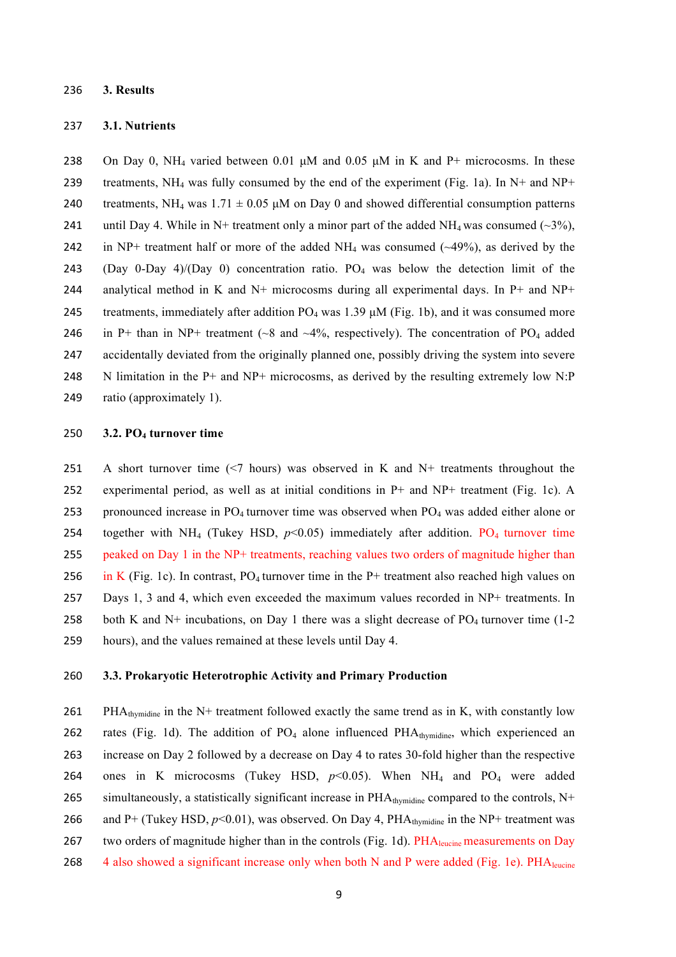#### 236 **3. Results**

#### 237 **3.1. Nutrients**

238 On Day 0, NH<sub>4</sub> varied between 0.01  $\mu$ M and 0.05  $\mu$ M in K and P+ microcosms. In these 239 treatments, NH<sub>4</sub> was fully consumed by the end of the experiment (Fig. 1a). In N+ and NP+ 240 treatments, NH<sub>4</sub> was 1.71  $\pm$  0.05  $\mu$ M on Day 0 and showed differential consumption patterns 241 until Day 4. While in N+ treatment only a minor part of the added NH<sub>4</sub> was consumed ( $\sim$ 3%), 242 in NP+ treatment half or more of the added NH<sub>4</sub> was consumed  $(\sim 49\%)$ , as derived by the 243 (Day 0-Day 4)/(Day 0) concentration ratio.  $PO_4$  was below the detection limit of the 244 analytical method in K and N+ microcosms during all experimental days. In P+ and NP+ 245 treatments, immediately after addition  $PO_4$  was 1.39  $\mu$ M (Fig. 1b), and it was consumed more 246 in P+ than in NP+ treatment ( $\sim$ 8 and  $\sim$ 4%, respectively). The concentration of PO<sub>4</sub> added 247 accidentally deviated from the originally planned one, possibly driving the system into severe 248 N limitation in the P+ and NP+ microcosms, as derived by the resulting extremely low N:P 249 ratio (approximately 1).

#### 250 **3.2. PO4 turnover time**

251 A short turnover time (<7 hours) was observed in K and N+ treatments throughout the 252 experimental period, as well as at initial conditions in P+ and NP+ treatment (Fig. 1c). A 253 pronounced increase in  $PQ_4$  turnover time was observed when  $PQ_4$  was added either alone or 254 together with  $NH_4$  (Tukey HSD,  $p<0.05$ ) immediately after addition. PO<sub>4</sub> turnover time 255 peaked on Day 1 in the NP+ treatments, reaching values two orders of magnitude higher than 256 in K (Fig. 1c). In contrast,  $PO_4$  turnover time in the P+ treatment also reached high values on 257 Days 1, 3 and 4, which even exceeded the maximum values recorded in NP+ treatments. In 258 both K and N+ incubations, on Day 1 there was a slight decrease of  $PO_4$  turnover time (1-2) 259 hours), and the values remained at these levels until Day 4.

#### 260 **3.3. Prokaryotic Heterotrophic Activity and Primary Production**

261 PHA<sub>thymidine</sub> in the N+ treatment followed exactly the same trend as in K, with constantly low 262 rates (Fig. 1d). The addition of  $PO_4$  alone influenced PHA<sub>thymidine</sub>, which experienced an 263 increase on Day 2 followed by a decrease on Day 4 to rates 30-fold higher than the respective 264 ones in K microcosms (Tukey HSD,  $p<0.05$ ). When NH<sub>4</sub> and PO<sub>4</sub> were added 265 simultaneously, a statistically significant increase in  $PHA<sub>thymidine</sub>$  compared to the controls, N+ 266 and P+ (Tukey HSD,  $p<0.01$ ), was observed. On Day 4, PHA<sub>thymidine</sub> in the NP+ treatment was 267 two orders of magnitude higher than in the controls (Fig. 1d).  $PHA<sub>leurcine</sub>$  measurements on Day 268 4 also showed a significant increase only when both N and P were added (Fig. 1e). PHA<sub>leucine</sub>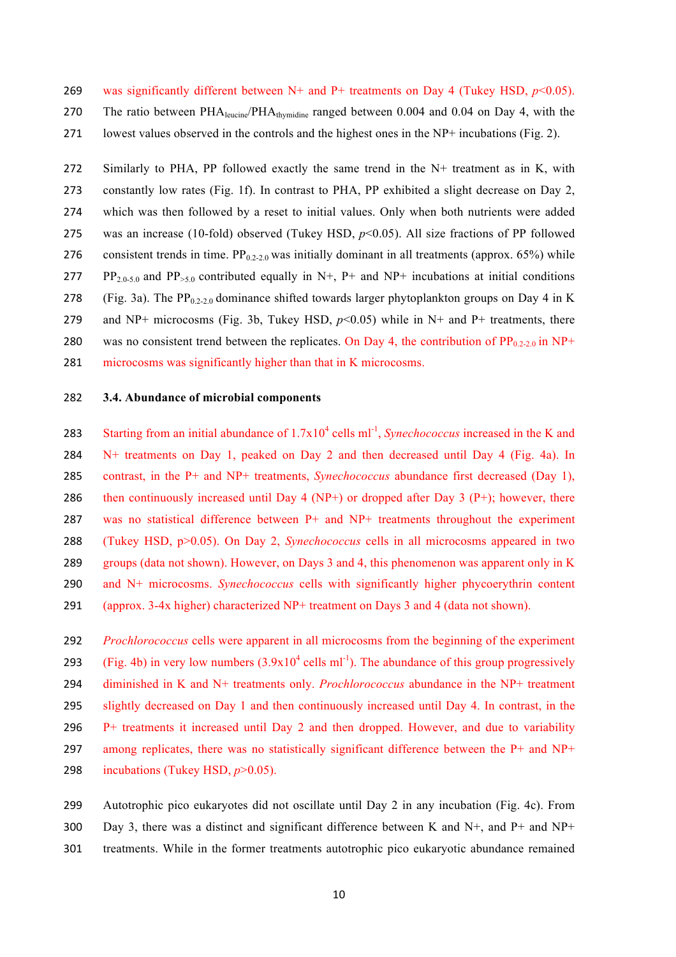269 was significantly different between  $N+$  and  $P+$  treatments on Day 4 (Tukey HSD,  $p<0.05$ ). 270 The ratio between PHA<sub>leucine</sub>/PHA<sub>thymidine</sub> ranged between 0.004 and 0.04 on Day 4, with the lowest values observed in the controls and the highest ones in the NP+ incubations (Fig. 2).

272 Similarly to PHA, PP followed exactly the same trend in the  $N<sup>+</sup>$  treatment as in K, with constantly low rates (Fig. 1f). In contrast to PHA, PP exhibited a slight decrease on Day 2, which was then followed by a reset to initial values. Only when both nutrients were added was an increase (10-fold) observed (Tukey HSD, *p*<0.05). All size fractions of PP followed 276 consistent trends in time.  $PP_{0.2-2.0}$  was initially dominant in all treatments (approx. 65%) while 277 PP<sub>2.0-5.0</sub> and PP<sub>>5.0</sub> contributed equally in N+, P+ and NP+ incubations at initial conditions 278 (Fig. 3a). The PP<sub>0.2-2.0</sub> dominance shifted towards larger phytoplankton groups on Day 4 in K and NP+ microcosms (Fig. 3b, Tukey HSD, *p*<0.05) while in N+ and P+ treatments, there 280 was no consistent trend between the replicates. On Day 4, the contribution of  $PP_{0.2-2.0}$  in NP+ microcosms was significantly higher than that in K microcosms.

#### **3.4. Abundance of microbial components**

283 Starting from an initial abundance of  $1.7x10^4$  cells ml<sup>-1</sup>, *Synechococcus* increased in the K and N+ treatments on Day 1, peaked on Day 2 and then decreased until Day 4 (Fig. 4a). In contrast, in the P+ and NP+ treatments, *Synechococcus* abundance first decreased (Day 1), 286 then continuously increased until Day 4 (NP+) or dropped after Day 3 (P+); however, there was no statistical difference between P+ and NP+ treatments throughout the experiment (Tukey HSD, p>0.05). On Day 2, *Synechococcus* cells in all microcosms appeared in two 289 groups (data not shown). However, on Days 3 and 4, this phenomenon was apparent only in K and N+ microcosms. *Synechococcus* cells with significantly higher phycoerythrin content (approx. 3-4x higher) characterized NP+ treatment on Days 3 and 4 (data not shown).

 *Prochlorococcus* cells were apparent in all microcosms from the beginning of the experiment (Fig. 4b) in very low numbers  $(3.9x10^4 \text{ cells ml}^{-1})$ . The abundance of this group progressively diminished in K and N+ treatments only. *Prochlorococcus* abundance in the NP+ treatment slightly decreased on Day 1 and then continuously increased until Day 4. In contrast, in the P+ treatments it increased until Day 2 and then dropped. However, and due to variability among replicates, there was no statistically significant difference between the P+ and NP+ 298 incubations (Tukey HSD,  $p > 0.05$ ).

 Autotrophic pico eukaryotes did not oscillate until Day 2 in any incubation (Fig. 4c). From Day 3, there was a distinct and significant difference between K and N+, and P+ and NP+ treatments. While in the former treatments autotrophic pico eukaryotic abundance remained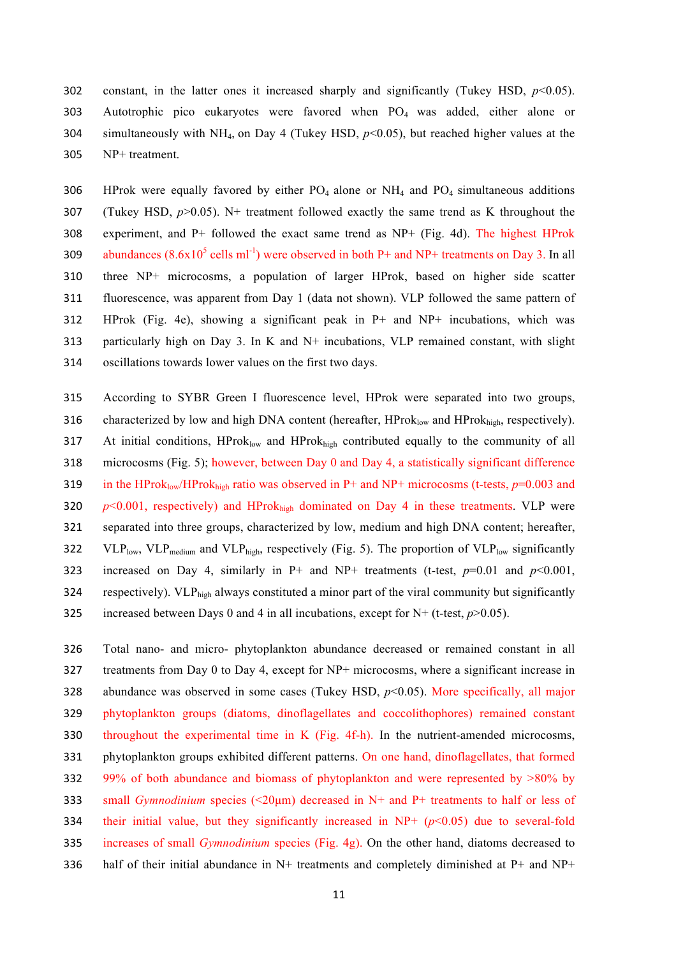302 constant, in the latter ones it increased sharply and significantly (Tukey HSD,  $p<0.05$ ). Autotrophic pico eukaryotes were favored when PO4 was added, either alone or 304 simultaneously with NH<sub>4</sub>, on Day 4 (Tukey HSD,  $p \le 0.05$ ), but reached higher values at the NP+ treatment.

306 HProk were equally favored by either  $PO_4$  alone or  $NH_4$  and  $PO_4$  simultaneous additions (Tukey HSD, *p*>0.05). N+ treatment followed exactly the same trend as K throughout the experiment, and P+ followed the exact same trend as NP+ (Fig. 4d). The highest HProk 309 abundances (8.6x10<sup>5</sup> cells ml<sup>-1</sup>) were observed in both P+ and NP+ treatments on Day 3. In all three NP+ microcosms, a population of larger HProk, based on higher side scatter fluorescence, was apparent from Day 1 (data not shown). VLP followed the same pattern of HProk (Fig. 4e), showing a significant peak in P+ and NP+ incubations, which was particularly high on Day 3. In K and N+ incubations, VLP remained constant, with slight oscillations towards lower values on the first two days.

 According to SYBR Green I fluorescence level, HProk were separated into two groups, 316 characterized by low and high DNA content (hereafter,  $HProk<sub>low</sub>$  and  $HProk<sub>high</sub>$ , respectively). 317 At initial conditions, HProklow and HProkhigh contributed equally to the community of all microcosms (Fig. 5); however, between Day 0 and Day 4, a statistically significant difference 319 in the HProklow/HProkhigh ratio was observed in P+ and NP+ microcosms (t-tests,  $p=0.003$  and 320  $p<0.001$ , respectively) and HProk<sub>high</sub> dominated on Day 4 in these treatments. VLP were separated into three groups, characterized by low, medium and high DNA content; hereafter, 322 VLP<sub>low</sub>, VLP<sub>medium</sub> and VLP<sub>high</sub>, respectively (Fig. 5). The proportion of VLP<sub>low</sub> significantly 323 increased on Day 4, similarly in P+ and NP+ treatments (t-test,  $p=0.01$  and  $p<0.001$ , 324 respectively).  $VLP<sub>high</sub>$  always constituted a minor part of the viral community but significantly 325 increased between Days 0 and 4 in all incubations, except for  $N+$  (t-test,  $p>0.05$ ).

 Total nano- and micro- phytoplankton abundance decreased or remained constant in all treatments from Day 0 to Day 4, except for NP+ microcosms, where a significant increase in abundance was observed in some cases (Tukey HSD, *p*<0.05). More specifically, all major phytoplankton groups (diatoms, dinoflagellates and coccolithophores) remained constant throughout the experimental time in K (Fig. 4f-h). In the nutrient-amended microcosms, phytoplankton groups exhibited different patterns. On one hand, dinoflagellates, that formed 99% of both abundance and biomass of phytoplankton and were represented by >80% by small *Gymnodinium* species (<20µm) decreased in N+ and P+ treatments to half or less of their initial value, but they significantly increased in NP+ (*p*<0.05) due to several-fold increases of small *Gymnodinium* species (Fig. 4g). On the other hand, diatoms decreased to 336 half of their initial abundance in  $N+$  treatments and completely diminished at  $P+$  and  $NP+$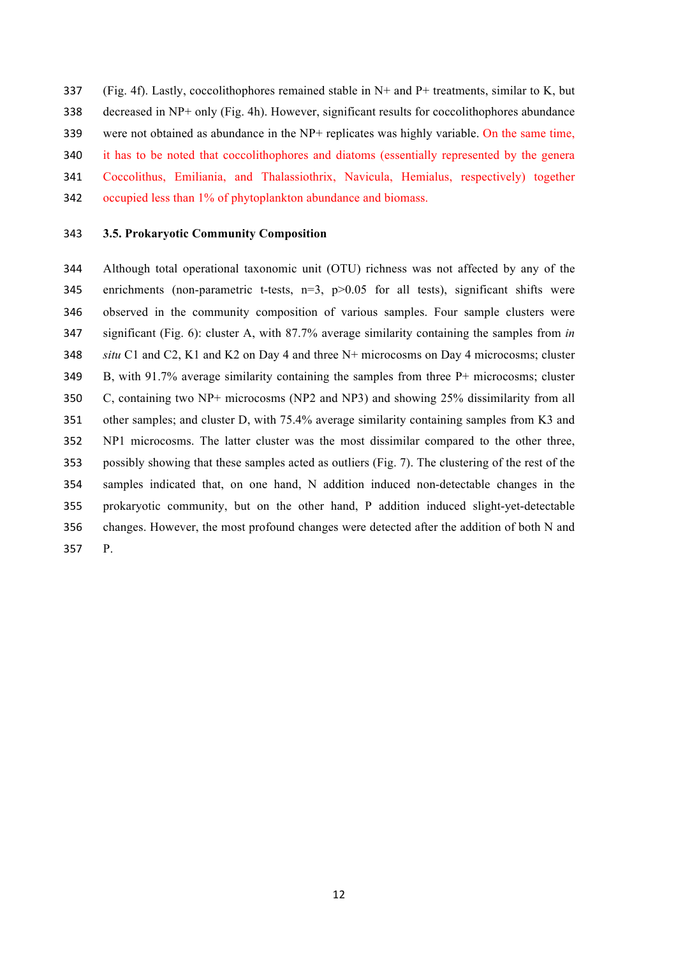(Fig. 4f). Lastly, coccolithophores remained stable in N+ and P+ treatments, similar to K, but decreased in NP+ only (Fig. 4h). However, significant results for coccolithophores abundance were not obtained as abundance in the NP+ replicates was highly variable. On the same time, it has to be noted that coccolithophores and diatoms (essentially represented by the genera Coccolithus, Emiliania, and Thalassiothrix, Navicula, Hemialus, respectively) together occupied less than 1% of phytoplankton abundance and biomass.

## **3.5. Prokaryotic Community Composition**

 Although total operational taxonomic unit (OTU) richness was not affected by any of the 345 enrichments (non-parametric t-tests,  $n=3$ ,  $p>0.05$  for all tests), significant shifts were observed in the community composition of various samples. Four sample clusters were significant (Fig. 6): cluster A, with 87.7% average similarity containing the samples from *in situ* C1 and C2, K1 and K2 on Day 4 and three N+ microcosms on Day 4 microcosms; cluster B, with 91.7% average similarity containing the samples from three P+ microcosms; cluster C, containing two NP+ microcosms (NP2 and NP3) and showing 25% dissimilarity from all other samples; and cluster D, with 75.4% average similarity containing samples from K3 and NP1 microcosms. The latter cluster was the most dissimilar compared to the other three, possibly showing that these samples acted as outliers (Fig. 7). The clustering of the rest of the samples indicated that, on one hand, N addition induced non-detectable changes in the prokaryotic community, but on the other hand, P addition induced slight-yet-detectable changes. However, the most profound changes were detected after the addition of both N and P.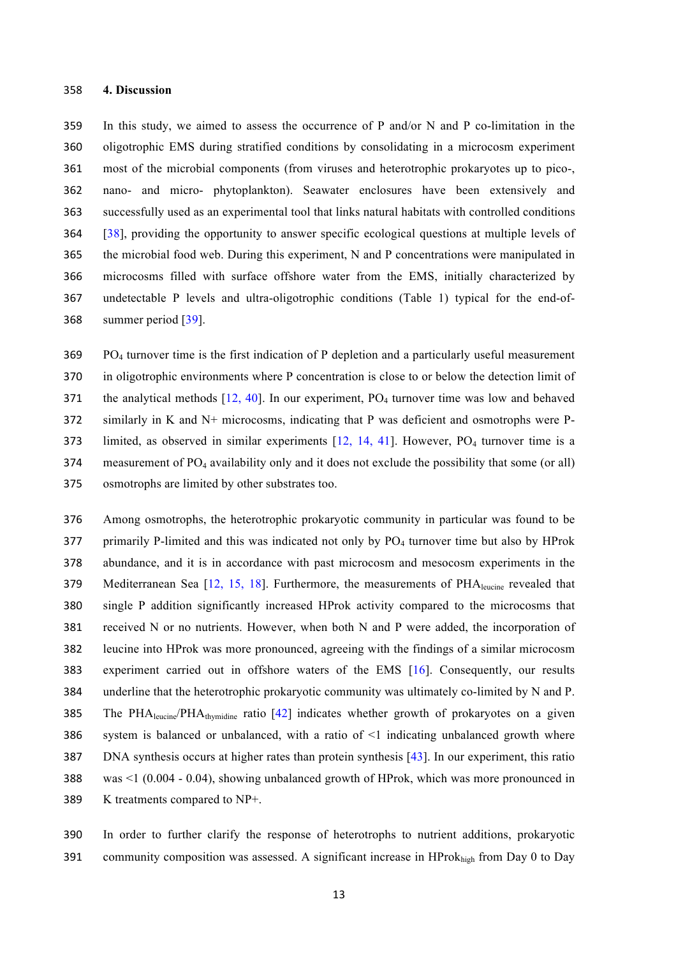#### **4. Discussion**

 In this study, we aimed to assess the occurrence of P and/or N and P co-limitation in the oligotrophic EMS during stratified conditions by consolidating in a microcosm experiment most of the microbial components (from viruses and heterotrophic prokaryotes up to pico-, nano- and micro- phytoplankton). Seawater enclosures have been extensively and successfully used as an experimental tool that links natural habitats with controlled conditions [38], providing the opportunity to answer specific ecological questions at multiple levels of the microbial food web. During this experiment, N and P concentrations were manipulated in microcosms filled with surface offshore water from the EMS, initially characterized by undetectable P levels and ultra-oligotrophic conditions (Table 1) typical for the end-of-summer period [39].

 PO4 turnover time is the first indication of P depletion and a particularly useful measurement in oligotrophic environments where P concentration is close to or below the detection limit of 371 the analytical methods  $[12, 40]$ . In our experiment,  $PO<sub>4</sub>$  turnover time was low and behaved similarly in K and N+ microcosms, indicating that P was deficient and osmotrophs were P-373 limited, as observed in similar experiments  $[12, 14, 41]$ . However, PO<sub>4</sub> turnover time is a 374 measurement of PO<sub>4</sub> availability only and it does not exclude the possibility that some (or all) osmotrophs are limited by other substrates too.

 Among osmotrophs, the heterotrophic prokaryotic community in particular was found to be 377 primarily P-limited and this was indicated not only by PO<sub>4</sub> turnover time but also by HProk abundance, and it is in accordance with past microcosm and mesocosm experiments in the 379 Mediterranean Sea [12, 15, 18]. Furthermore, the measurements of PHA<sub>leucine</sub> revealed that single P addition significantly increased HProk activity compared to the microcosms that received N or no nutrients. However, when both N and P were added, the incorporation of leucine into HProk was more pronounced, agreeing with the findings of a similar microcosm experiment carried out in offshore waters of the EMS [16]. Consequently, our results underline that the heterotrophic prokaryotic community was ultimately co-limited by N and P. 385 The PHA<sub>leucine</sub>/PHA<sub>thymidine</sub> ratio [42] indicates whether growth of prokaryotes on a given system is balanced or unbalanced, with a ratio of <1 indicating unbalanced growth where DNA synthesis occurs at higher rates than protein synthesis [43]. In our experiment, this ratio was <1 (0.004 - 0.04), showing unbalanced growth of HProk, which was more pronounced in K treatments compared to NP+.

 In order to further clarify the response of heterotrophs to nutrient additions, prokaryotic 391 community composition was assessed. A significant increase in HPro $k_{high}$  from Day 0 to Day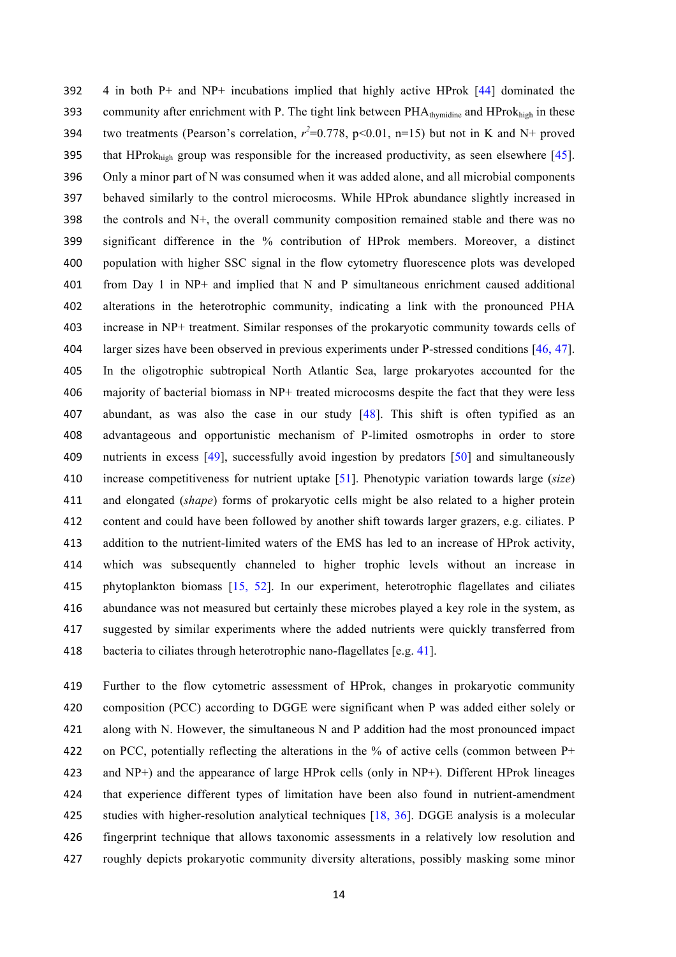4 in both P+ and NP+ incubations implied that highly active HProk [44] dominated the 393 community after enrichment with P. The tight link between  $PHA_{thvmidine}$  and  $HProk_{high}$  in these 394 two treatments (Pearson's correlation,  $r^2=0.778$ , p<0.01, n=15) but not in K and N+ proved 395 that HProk<sub>high</sub> group was responsible for the increased productivity, as seen elsewhere  $[45]$ . Only a minor part of N was consumed when it was added alone, and all microbial components behaved similarly to the control microcosms. While HProk abundance slightly increased in the controls and N+, the overall community composition remained stable and there was no significant difference in the % contribution of HProk members. Moreover, a distinct population with higher SSC signal in the flow cytometry fluorescence plots was developed from Day 1 in NP+ and implied that N and P simultaneous enrichment caused additional alterations in the heterotrophic community, indicating a link with the pronounced PHA increase in NP+ treatment. Similar responses of the prokaryotic community towards cells of larger sizes have been observed in previous experiments under P-stressed conditions [46, 47]. In the oligotrophic subtropical North Atlantic Sea, large prokaryotes accounted for the majority of bacterial biomass in NP+ treated microcosms despite the fact that they were less abundant, as was also the case in our study [48]. This shift is often typified as an advantageous and opportunistic mechanism of P-limited osmotrophs in order to store 409 nutrients in excess [49], successfully avoid ingestion by predators [50] and simultaneously increase competitiveness for nutrient uptake [51]. Phenotypic variation towards large (*size*) and elongated (*shape*) forms of prokaryotic cells might be also related to a higher protein content and could have been followed by another shift towards larger grazers, e.g. ciliates. P addition to the nutrient-limited waters of the EMS has led to an increase of HProk activity, which was subsequently channeled to higher trophic levels without an increase in phytoplankton biomass [15, 52]. In our experiment, heterotrophic flagellates and ciliates abundance was not measured but certainly these microbes played a key role in the system, as suggested by similar experiments where the added nutrients were quickly transferred from bacteria to ciliates through heterotrophic nano-flagellates [e.g. 41].

 Further to the flow cytometric assessment of HProk, changes in prokaryotic community composition (PCC) according to DGGE were significant when P was added either solely or along with N. However, the simultaneous N and P addition had the most pronounced impact on PCC, potentially reflecting the alterations in the % of active cells (common between P+ and NP+) and the appearance of large HProk cells (only in NP+). Different HProk lineages that experience different types of limitation have been also found in nutrient-amendment studies with higher-resolution analytical techniques [18, 36]. DGGE analysis is a molecular fingerprint technique that allows taxonomic assessments in a relatively low resolution and roughly depicts prokaryotic community diversity alterations, possibly masking some minor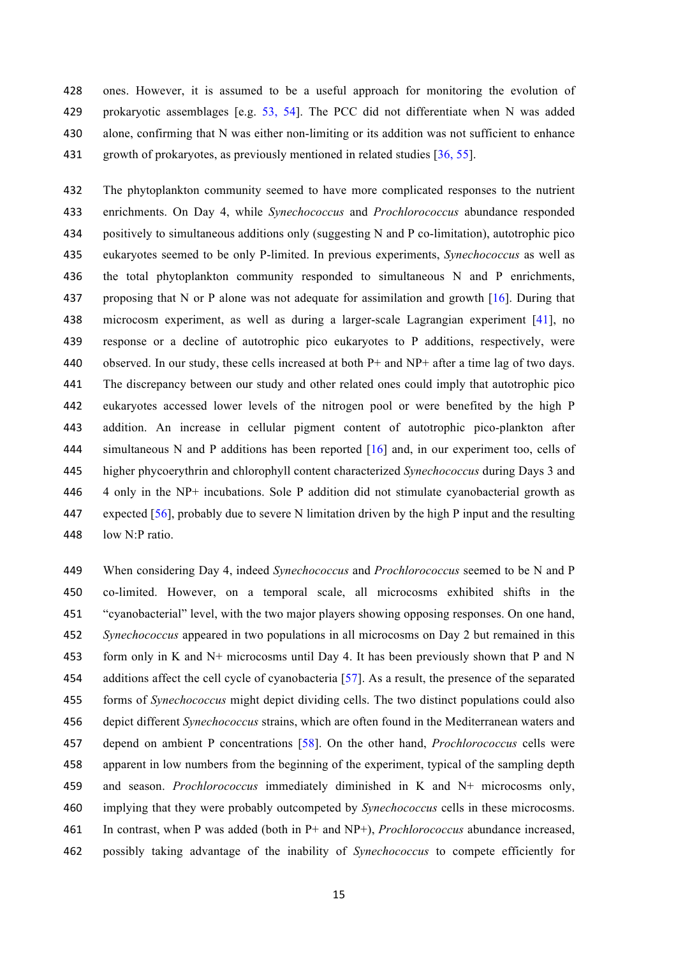ones. However, it is assumed to be a useful approach for monitoring the evolution of prokaryotic assemblages [e.g. 53, 54]. The PCC did not differentiate when N was added alone, confirming that N was either non-limiting or its addition was not sufficient to enhance growth of prokaryotes, as previously mentioned in related studies [36, 55].

 The phytoplankton community seemed to have more complicated responses to the nutrient enrichments. On Day 4, while *Synechococcus* and *Prochlorococcus* abundance responded positively to simultaneous additions only (suggesting N and P co-limitation), autotrophic pico eukaryotes seemed to be only P-limited. In previous experiments, *Synechococcus* as well as the total phytoplankton community responded to simultaneous N and P enrichments, proposing that N or P alone was not adequate for assimilation and growth [16]. During that microcosm experiment, as well as during a larger-scale Lagrangian experiment [41], no response or a decline of autotrophic pico eukaryotes to P additions, respectively, were 440 observed. In our study, these cells increased at both  $P+$  and  $NP+$  after a time lag of two days. The discrepancy between our study and other related ones could imply that autotrophic pico eukaryotes accessed lower levels of the nitrogen pool or were benefited by the high P addition. An increase in cellular pigment content of autotrophic pico-plankton after simultaneous N and P additions has been reported [16] and, in our experiment too, cells of higher phycoerythrin and chlorophyll content characterized *Synechococcus* during Days 3 and 4 only in the NP+ incubations. Sole P addition did not stimulate cyanobacterial growth as expected [56], probably due to severe N limitation driven by the high P input and the resulting low N:P ratio.

 When considering Day 4, indeed *Synechococcus* and *Prochlorococcus* seemed to be N and P co-limited. However, on a temporal scale, all microcosms exhibited shifts in the "cyanobacterial" level, with the two major players showing opposing responses. On one hand, *Synechococcus* appeared in two populations in all microcosms on Day 2 but remained in this form only in K and N+ microcosms until Day 4. It has been previously shown that P and N additions affect the cell cycle of cyanobacteria [57]. As a result, the presence of the separated forms of *Synechococcus* might depict dividing cells. The two distinct populations could also depict different *Synechococcus* strains, which are often found in the Mediterranean waters and depend on ambient P concentrations [58]. On the other hand, *Prochlorococcus* cells were apparent in low numbers from the beginning of the experiment, typical of the sampling depth and season. *Prochlorococcus* immediately diminished in K and N+ microcosms only, implying that they were probably outcompeted by *Synechococcus* cells in these microcosms. In contrast, when P was added (both in P+ and NP+), *Prochlorococcus* abundance increased, possibly taking advantage of the inability of *Synechococcus* to compete efficiently for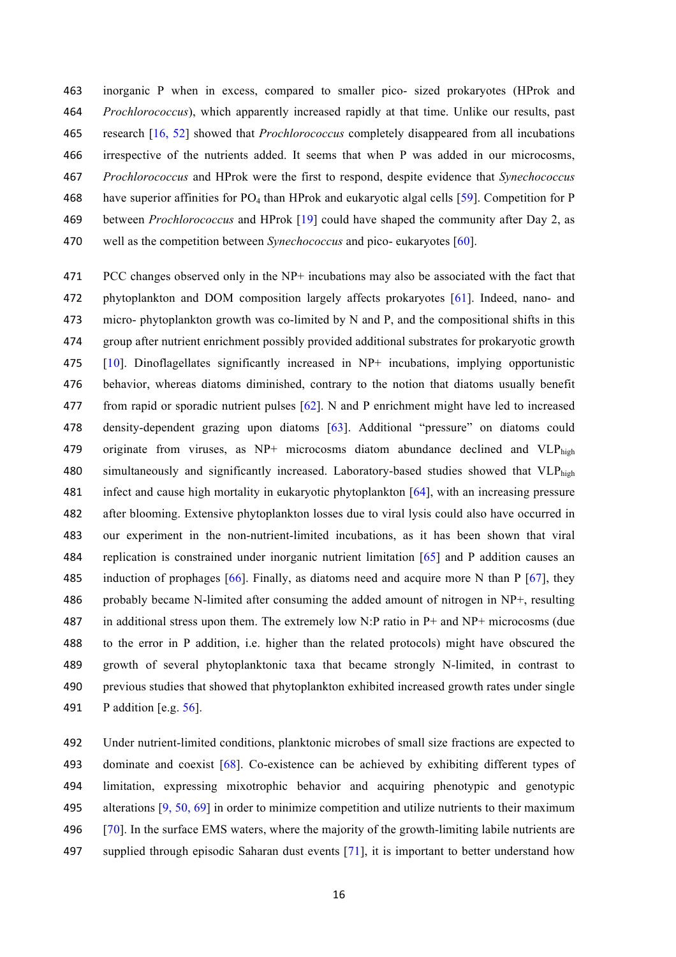inorganic P when in excess, compared to smaller pico- sized prokaryotes (HProk and *Prochlorococcus*), which apparently increased rapidly at that time. Unlike our results, past research [16, 52] showed that *Prochlorococcus* completely disappeared from all incubations irrespective of the nutrients added. It seems that when P was added in our microcosms, *Prochlorococcus* and HProk were the first to respond, despite evidence that *Synechococcus* 468 have superior affinities for  $PQ_4$  than HProk and eukaryotic algal cells [59]. Competition for P between *Prochlorococcus* and HProk [19] could have shaped the community after Day 2, as well as the competition between *Synechococcus* and pico- eukaryotes [60].

 PCC changes observed only in the NP+ incubations may also be associated with the fact that phytoplankton and DOM composition largely affects prokaryotes [61]. Indeed, nano- and micro- phytoplankton growth was co-limited by N and P, and the compositional shifts in this group after nutrient enrichment possibly provided additional substrates for prokaryotic growth [10]. Dinoflagellates significantly increased in NP+ incubations, implying opportunistic behavior, whereas diatoms diminished, contrary to the notion that diatoms usually benefit from rapid or sporadic nutrient pulses [62]. N and P enrichment might have led to increased density-dependent grazing upon diatoms [63]. Additional "pressure" on diatoms could 479 originate from viruses, as NP+ microcosms diatom abundance declined and VLPhigh 480 simultaneously and significantly increased. Laboratory-based studies showed that  $VLP<sub>high</sub>$  infect and cause high mortality in eukaryotic phytoplankton [64], with an increasing pressure after blooming. Extensive phytoplankton losses due to viral lysis could also have occurred in our experiment in the non-nutrient-limited incubations, as it has been shown that viral replication is constrained under inorganic nutrient limitation [65] and P addition causes an induction of prophages [66]. Finally, as diatoms need and acquire more N than P [67], they probably became N-limited after consuming the added amount of nitrogen in NP+, resulting 487 in additional stress upon them. The extremely low N:P ratio in  $P+$  and NP+ microcosms (due to the error in P addition, i.e. higher than the related protocols) might have obscured the growth of several phytoplanktonic taxa that became strongly N-limited, in contrast to previous studies that showed that phytoplankton exhibited increased growth rates under single P addition [e.g. 56].

 Under nutrient-limited conditions, planktonic microbes of small size fractions are expected to dominate and coexist [68]. Co-existence can be achieved by exhibiting different types of limitation, expressing mixotrophic behavior and acquiring phenotypic and genotypic alterations [9, 50, 69] in order to minimize competition and utilize nutrients to their maximum 496 [70]. In the surface EMS waters, where the majority of the growth-limiting labile nutrients are supplied through episodic Saharan dust events [71], it is important to better understand how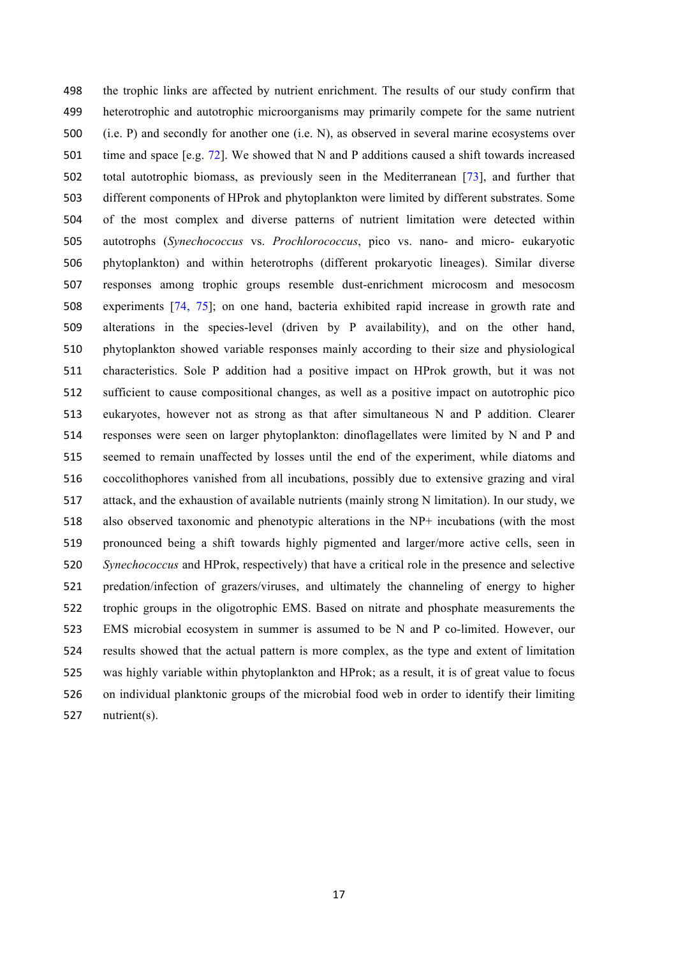the trophic links are affected by nutrient enrichment. The results of our study confirm that heterotrophic and autotrophic microorganisms may primarily compete for the same nutrient (i.e. P) and secondly for another one (i.e. N), as observed in several marine ecosystems over time and space [e.g. 72]. We showed that N and P additions caused a shift towards increased total autotrophic biomass, as previously seen in the Mediterranean [73], and further that different components of HProk and phytoplankton were limited by different substrates. Some of the most complex and diverse patterns of nutrient limitation were detected within autotrophs (*Synechococcus* vs. *Prochlorococcus*, pico vs. nano- and micro- eukaryotic phytoplankton) and within heterotrophs (different prokaryotic lineages). Similar diverse responses among trophic groups resemble dust-enrichment microcosm and mesocosm experiments [74, 75]; on one hand, bacteria exhibited rapid increase in growth rate and alterations in the species-level (driven by P availability), and on the other hand, phytoplankton showed variable responses mainly according to their size and physiological characteristics. Sole P addition had a positive impact on HProk growth, but it was not sufficient to cause compositional changes, as well as a positive impact on autotrophic pico eukaryotes, however not as strong as that after simultaneous N and P addition. Clearer responses were seen on larger phytoplankton: dinoflagellates were limited by N and P and seemed to remain unaffected by losses until the end of the experiment, while diatoms and coccolithophores vanished from all incubations, possibly due to extensive grazing and viral attack, and the exhaustion of available nutrients (mainly strong N limitation). In our study, we also observed taxonomic and phenotypic alterations in the NP+ incubations (with the most pronounced being a shift towards highly pigmented and larger/more active cells, seen in *Synechococcus* and HProk, respectively) that have a critical role in the presence and selective predation/infection of grazers/viruses, and ultimately the channeling of energy to higher trophic groups in the oligotrophic EMS. Based on nitrate and phosphate measurements the EMS microbial ecosystem in summer is assumed to be N and P co-limited. However, our results showed that the actual pattern is more complex, as the type and extent of limitation was highly variable within phytoplankton and HProk; as a result, it is of great value to focus on individual planktonic groups of the microbial food web in order to identify their limiting nutrient(s).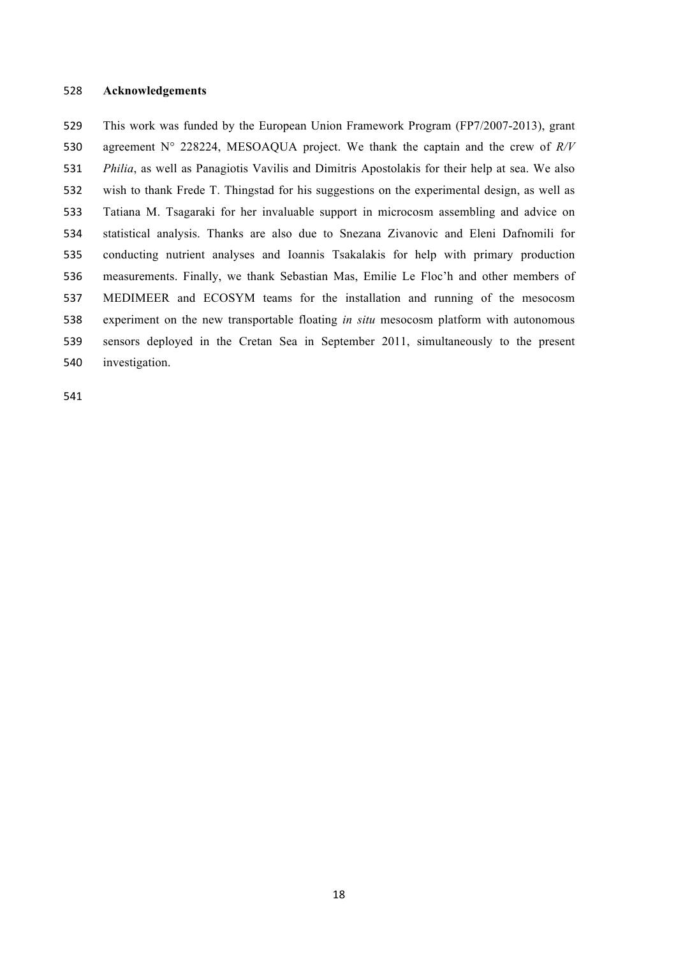# **Acknowledgements**

 This work was funded by the European Union Framework Program (FP7/2007-2013), grant agreement N° 228224, MESOAQUA project. We thank the captain and the crew of *R/V Philia*, as well as Panagiotis Vavilis and Dimitris Apostolakis for their help at sea. We also wish to thank Frede T. Thingstad for his suggestions on the experimental design, as well as Tatiana M. Tsagaraki for her invaluable support in microcosm assembling and advice on statistical analysis. Thanks are also due to Snezana Zivanovic and Eleni Dafnomili for conducting nutrient analyses and Ioannis Tsakalakis for help with primary production measurements. Finally, we thank Sebastian Mas, Emilie Le Floc'h and other members of MEDIMEER and ECOSYM teams for the installation and running of the mesocosm experiment on the new transportable floating *in situ* mesocosm platform with autonomous sensors deployed in the Cretan Sea in September 2011, simultaneously to the present investigation.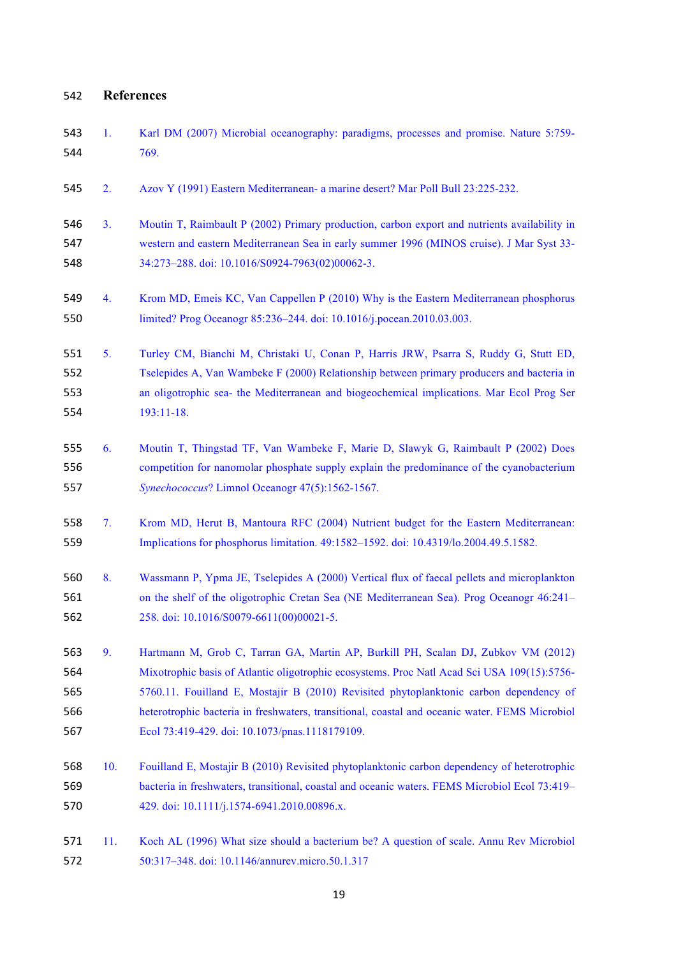#### **References**

- 1. Karl DM (2007) Microbial oceanography: paradigms, processes and promise. Nature 5:759- 769.
- 2. Azov Y (1991) Eastern Mediterranean- a marine desert? Mar Poll Bull 23:225-232.
- 3. Moutin T, Raimbault P (2002) Primary production, carbon export and nutrients availability in western and eastern Mediterranean Sea in early summer 1996 (MINOS cruise). J Mar Syst 33- 34:273–288. doi: 10.1016/S0924-7963(02)00062-3.
- 4. Krom MD, Emeis KC, Van Cappellen P (2010) Why is the Eastern Mediterranean phosphorus limited? Prog Oceanogr 85:236–244. doi: 10.1016/j.pocean.2010.03.003.
- 5. Turley CM, Bianchi M, Christaki U, Conan P, Harris JRW, Psarra S, Ruddy G, Stutt ED, Tselepides A, Van Wambeke F (2000) Relationship between primary producers and bacteria in an oligotrophic sea- the Mediterranean and biogeochemical implications. Mar Ecol Prog Ser 193:11-18.
- 6. Moutin T, Thingstad TF, Van Wambeke F, Marie D, Slawyk G, Raimbault P (2002) Does competition for nanomolar phosphate supply explain the predominance of the cyanobacterium *Synechococcus*? Limnol Oceanogr 47(5):1562-1567.
- 7. Krom MD, Herut B, Mantoura RFC (2004) Nutrient budget for the Eastern Mediterranean: Implications for phosphorus limitation. 49:1582–1592. doi: 10.4319/lo.2004.49.5.1582.
- 8. Wassmann P, Ypma JE, Tselepides A (2000) Vertical flux of faecal pellets and microplankton on the shelf of the oligotrophic Cretan Sea (NE Mediterranean Sea). Prog Oceanogr 46:241– 258. doi: 10.1016/S0079-6611(00)00021-5.
- 9. Hartmann M, Grob C, Tarran GA, Martin AP, Burkill PH, Scalan DJ, Zubkov VM (2012) Mixotrophic basis of Atlantic oligotrophic ecosystems. Proc Natl Acad Sci USA 109(15):5756- 5760.11. Fouilland E, Mostajir B (2010) Revisited phytoplanktonic carbon dependency of heterotrophic bacteria in freshwaters, transitional, coastal and oceanic water. FEMS Microbiol Ecol 73:419-429. doi: 10.1073/pnas.1118179109.
- 10. Fouilland E, Mostajir B (2010) Revisited phytoplanktonic carbon dependency of heterotrophic bacteria in freshwaters, transitional, coastal and oceanic waters. FEMS Microbiol Ecol 73:419– 429. doi: 10.1111/j.1574-6941.2010.00896.x.
- 11. Koch AL (1996) What size should a bacterium be? A question of scale. Annu Rev Microbiol 50:317–348. doi: 10.1146/annurev.micro.50.1.317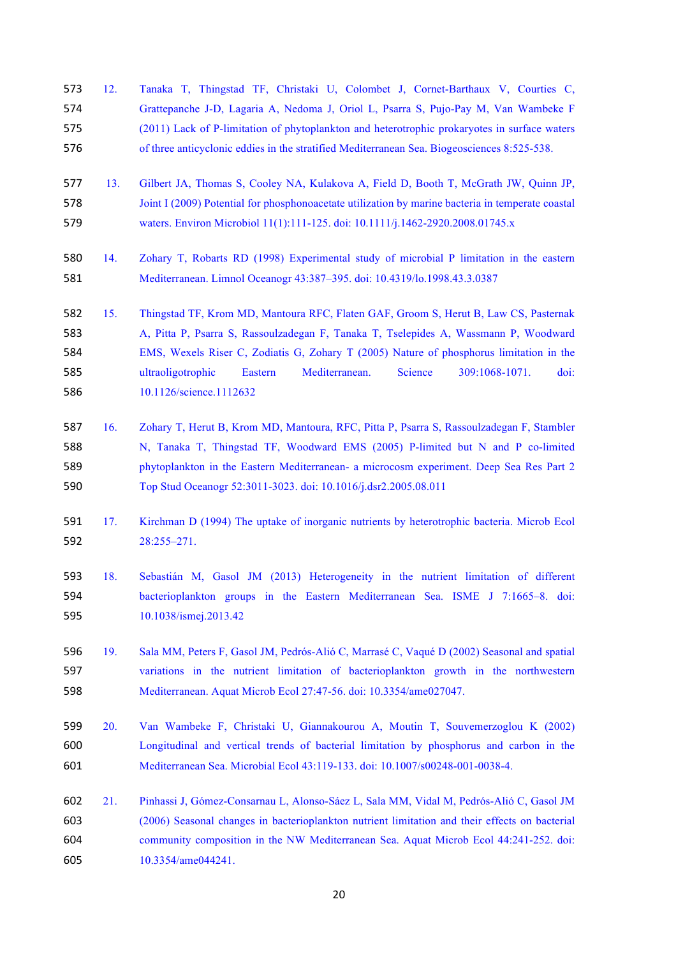- 12. Tanaka T, Thingstad TF, Christaki U, Colombet J, Cornet-Barthaux V, Courties C, Grattepanche J-D, Lagaria A, Nedoma J, Oriol L, Psarra S, Pujo-Pay M, Van Wambeke F (2011) Lack of P-limitation of phytoplankton and heterotrophic prokaryotes in surface waters 576 of three anticyclonic eddies in the stratified Mediterranean Sea. Biogeosciences 8:525-538.
- 13. Gilbert JA, Thomas S, Cooley NA, Kulakova A, Field D, Booth T, McGrath JW, Quinn JP, Joint I (2009) Potential for phosphonoacetate utilization by marine bacteria in temperate coastal waters. Environ Microbiol 11(1):111-125. doi: 10.1111/j.1462-2920.2008.01745.x
- 14. Zohary T, Robarts RD (1998) Experimental study of microbial P limitation in the eastern Mediterranean. Limnol Oceanogr 43:387–395. doi: 10.4319/lo.1998.43.3.0387
- 15. Thingstad TF, Krom MD, Mantoura RFC, Flaten GAF, Groom S, Herut B, Law CS, Pasternak 583 A, Pitta P, Psarra S, Rassoulzadegan F, Tanaka T, Tselepides A, Wassmann P, Woodward EMS, Wexels Riser C, Zodiatis G, Zohary T (2005) Nature of phosphorus limitation in the ultraoligotrophic Eastern Mediterranean. Science 309:1068-1071. doi: 10.1126/science.1112632
- 16. Zohary T, Herut B, Krom MD, Mantoura, RFC, Pitta P, Psarra S, Rassoulzadegan F, Stambler N, Tanaka T, Thingstad TF, Woodward EMS (2005) P-limited but N and P co-limited phytoplankton in the Eastern Mediterranean- a microcosm experiment. Deep Sea Res Part 2 Top Stud Oceanogr 52:3011-3023. doi: 10.1016/j.dsr2.2005.08.011
- 17. Kirchman D (1994) The uptake of inorganic nutrients by heterotrophic bacteria. Microb Ecol 28:255–271.
- 18. Sebastián M, Gasol JM (2013) Heterogeneity in the nutrient limitation of different bacterioplankton groups in the Eastern Mediterranean Sea. ISME J 7:1665–8. doi: 10.1038/ismej.2013.42
- 19. Sala MM, Peters F, Gasol JM, Pedrós-Alió C, Marrasé C, Vaqué D (2002) Seasonal and spatial variations in the nutrient limitation of bacterioplankton growth in the northwestern Mediterranean. Aquat Microb Ecol 27:47-56. doi: 10.3354/ame027047.
- 20. Van Wambeke F, Christaki U, Giannakourou A, Moutin T, Souvemerzoglou K (2002) Longitudinal and vertical trends of bacterial limitation by phosphorus and carbon in the Mediterranean Sea. Microbial Ecol 43:119-133. doi: 10.1007/s00248-001-0038-4.
- 21. Pinhassi J, Gómez-Consarnau L, Alonso-Sáez L, Sala MM, Vidal M, Pedrós-Alió C, Gasol JM (2006) Seasonal changes in bacterioplankton nutrient limitation and their effects on bacterial community composition in the NW Mediterranean Sea. Aquat Microb Ecol 44:241-252. doi: 10.3354/ame044241.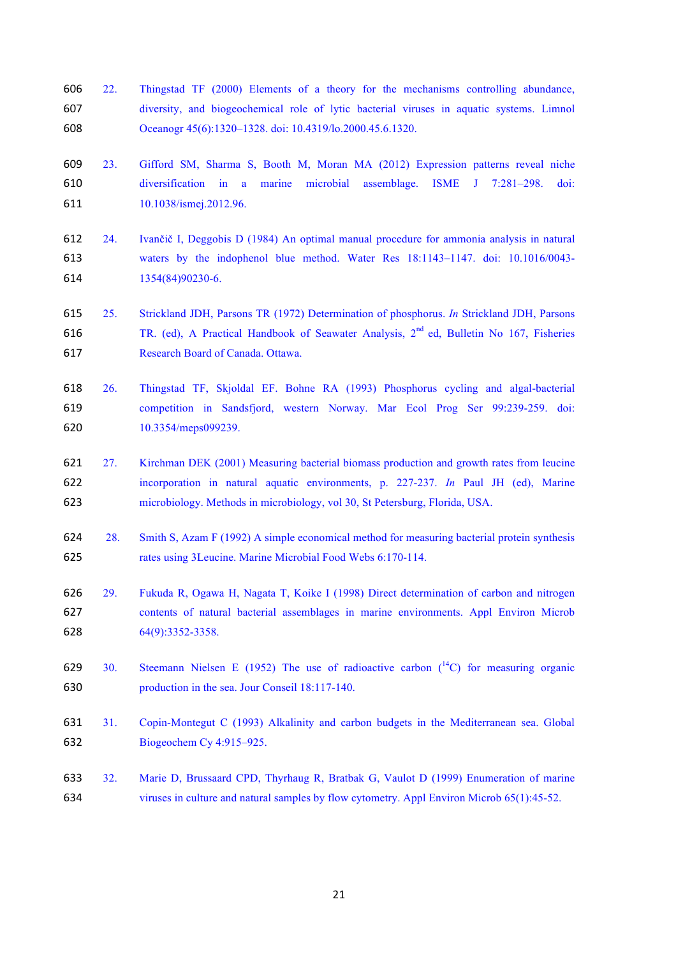- 22. Thingstad TF (2000) Elements of a theory for the mechanisms controlling abundance, diversity, and biogeochemical role of lytic bacterial viruses in aquatic systems. Limnol Oceanogr 45(6):1320–1328. doi: 10.4319/lo.2000.45.6.1320.
- 23. Gifford SM, Sharma S, Booth M, Moran MA (2012) Expression patterns reveal niche diversification in a marine microbial assemblage. ISME J 7:281–298. doi: 10.1038/ismej.2012.96.
- 24. Ivančič I, Deggobis D (1984) An optimal manual procedure for ammonia analysis in natural waters by the indophenol blue method. Water Res 18:1143–1147. doi: 10.1016/0043- 1354(84)90230-6.
- 25. Strickland JDH, Parsons TR (1972) Determination of phosphorus. *In* Strickland JDH, Parsons 616 TR. (ed), A Practical Handbook of Seawater Analysis,  $2<sup>nd</sup>$  ed, Bulletin No 167, Fisheries Research Board of Canada. Ottawa.
- 26. Thingstad TF, Skjoldal EF. Bohne RA (1993) Phosphorus cycling and algal-bacterial competition in Sandsfjord, western Norway. Mar Ecol Prog Ser 99:239-259. doi: 10.3354/meps099239.
- 27. Kirchman DEK (2001) Measuring bacterial biomass production and growth rates from leucine incorporation in natural aquatic environments, p. 227-237. *In* Paul JH (ed), Marine microbiology. Methods in microbiology, vol 30, St Petersburg, Florida, USA.
- 28. Smith S, Azam F (1992) A simple economical method for measuring bacterial protein synthesis rates using 3Leucine. Marine Microbial Food Webs 6:170-114.
- 29. Fukuda R, Ogawa H, Nagata T, Koike I (1998) Direct determination of carbon and nitrogen contents of natural bacterial assemblages in marine environments. Appl Environ Microb 64(9):3352-3358.
- 629 30. Steemann Nielsen E (1952) The use of radioactive carbon  $(^{14}C)$  for measuring organic production in the sea. Jour Conseil 18:117-140.
- 31. Copin-Montegut C (1993) Alkalinity and carbon budgets in the Mediterranean sea. Global Biogeochem Cy 4:915–925.
- 32. Marie D, Brussaard CPD, Thyrhaug R, Bratbak G, Vaulot D (1999) Enumeration of marine viruses in culture and natural samples by flow cytometry. Appl Environ Microb 65(1):45-52.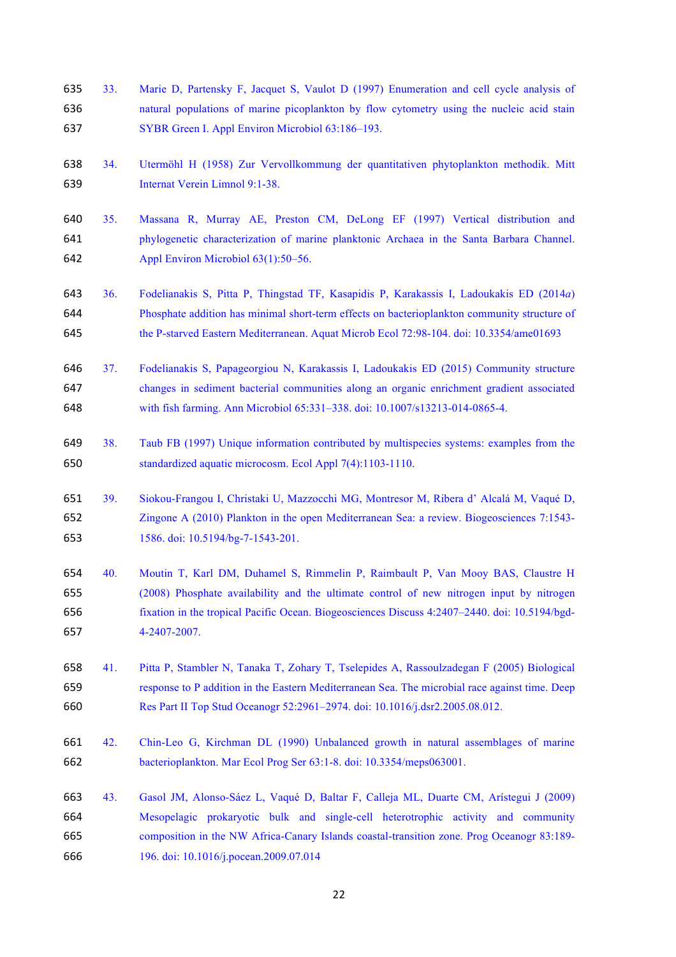- 33. Marie D, Partensky F, Jacquet S, Vaulot D (1997) Enumeration and cell cycle analysis of natural populations of marine picoplankton by flow cytometry using the nucleic acid stain SYBR Green I. Appl Environ Microbiol 63:186–193.
- 34. Utermöhl H (1958) Zur Vervollkommung der quantitativen phytoplankton methodik. Mitt Internat Verein Limnol 9:1-38.
- 35. Massana R, Murray AE, Preston CM, DeLong EF (1997) Vertical distribution and phylogenetic characterization of marine planktonic Archaea in the Santa Barbara Channel. Appl Environ Microbiol 63(1):50–56.
- 36. Fodelianakis S, Pitta P, Thingstad TF, Kasapidis P, Karakassis I, Ladoukakis ED (2014*a*) Phosphate addition has minimal short-term effects on bacterioplankton community structure of the P-starved Eastern Mediterranean. Aquat Microb Ecol 72:98-104. doi: 10.3354/ame01693
- 37. Fodelianakis S, Papageorgiou N, Karakassis I, Ladoukakis ED (2015) Community structure changes in sediment bacterial communities along an organic enrichment gradient associated with fish farming. Ann Microbiol 65:331–338. doi: 10.1007/s13213-014-0865-4.
- 38. Taub FB (1997) Unique information contributed by multispecies systems: examples from the standardized aquatic microcosm. Ecol Appl 7(4):1103-1110.
- 39. Siokou-Frangou I, Christaki U, Mazzocchi MG, Montresor M, Ribera d' Alcalá M, Vaqué D, Zingone A (2010) Plankton in the open Mediterranean Sea: a review. Biogeosciences 7:1543- 1586. doi: 10.5194/bg-7-1543-201.
- 40. Moutin T, Karl DM, Duhamel S, Rimmelin P, Raimbault P, Van Mooy BAS, Claustre H (2008) Phosphate availability and the ultimate control of new nitrogen input by nitrogen fixation in the tropical Pacific Ocean. Biogeosciences Discuss 4:2407–2440. doi: 10.5194/bgd-4-2407-2007.
- 41. Pitta P, Stambler N, Tanaka T, Zohary T, Tselepides A, Rassoulzadegan F (2005) Biological response to P addition in the Eastern Mediterranean Sea. The microbial race against time. Deep Res Part II Top Stud Oceanogr 52:2961–2974. doi: 10.1016/j.dsr2.2005.08.012.
- 42. Chin-Leo G, Kirchman DL (1990) Unbalanced growth in natural assemblages of marine bacterioplankton. Mar Ecol Prog Ser 63:1-8. doi: 10.3354/meps063001.
- 43. Gasol JM, Alonso-Sáez L, Vaqué D, Baltar F, Calleja ML, Duarte CM, Arístegui J (2009) Mesopelagic prokaryotic bulk and single-cell heterotrophic activity and community composition in the NW Africa-Canary Islands coastal-transition zone. Prog Oceanogr 83:189- 196. doi: 10.1016/j.pocean.2009.07.014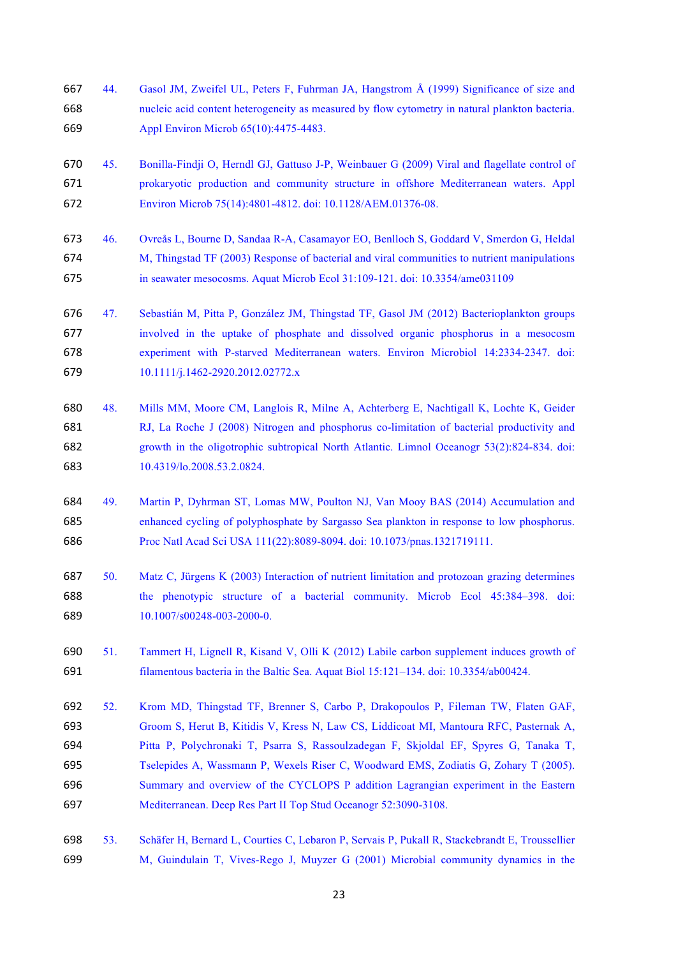- 44. Gasol JM, Zweifel UL, Peters F, Fuhrman JA, Hangstrom Å (1999) Significance of size and nucleic acid content heterogeneity as measured by flow cytometry in natural plankton bacteria. Appl Environ Microb 65(10):4475-4483.
- 45. Bonilla-Findji O, Herndl GJ, Gattuso J-P, Weinbauer G (2009) Viral and flagellate control of prokaryotic production and community structure in offshore Mediterranean waters. Appl Environ Microb 75(14):4801-4812. doi: 10.1128/AEM.01376-08.
- 46. Ovreås L, Bourne D, Sandaa R-A, Casamayor EO, Benlloch S, Goddard V, Smerdon G, Heldal M, Thingstad TF (2003) Response of bacterial and viral communities to nutrient manipulations in seawater mesocosms. Aquat Microb Ecol 31:109-121. doi: 10.3354/ame031109
- 47. Sebastián M, Pitta P, González JM, Thingstad TF, Gasol JM (2012) Bacterioplankton groups involved in the uptake of phosphate and dissolved organic phosphorus in a mesocosm experiment with P-starved Mediterranean waters. Environ Microbiol 14:2334-2347. doi: 10.1111/j.1462-2920.2012.02772.x
- 48. Mills MM, Moore CM, Langlois R, Milne A, Achterberg E, Nachtigall K, Lochte K, Geider RJ, La Roche J (2008) Nitrogen and phosphorus co-limitation of bacterial productivity and growth in the oligotrophic subtropical North Atlantic. Limnol Oceanogr 53(2):824-834. doi: 10.4319/lo.2008.53.2.0824.
- 49. Martin P, Dyhrman ST, Lomas MW, Poulton NJ, Van Mooy BAS (2014) Accumulation and enhanced cycling of polyphosphate by Sargasso Sea plankton in response to low phosphorus. Proc Natl Acad Sci USA 111(22):8089-8094. doi: 10.1073/pnas.1321719111.
- 50. Matz C, Jürgens K (2003) Interaction of nutrient limitation and protozoan grazing determines the phenotypic structure of a bacterial community. Microb Ecol 45:384–398. doi: 10.1007/s00248-003-2000-0.
- 51. Tammert H, Lignell R, Kisand V, Olli K (2012) Labile carbon supplement induces growth of filamentous bacteria in the Baltic Sea. Aquat Biol 15:121–134. doi: 10.3354/ab00424.
- 52. Krom MD, Thingstad TF, Brenner S, Carbo P, Drakopoulos P, Fileman TW, Flaten GAF, Groom S, Herut B, Kitidis V, Kress N, Law CS, Liddicoat MI, Mantoura RFC, Pasternak A, Pitta P, Polychronaki T, Psarra S, Rassoulzadegan F, Skjoldal EF, Spyres G, Tanaka T, Tselepides A, Wassmann P, Wexels Riser C, Woodward EMS, Zodiatis G, Zohary T (2005). Summary and overview of the CYCLOPS P addition Lagrangian experiment in the Eastern Mediterranean. Deep Res Part II Top Stud Oceanogr 52:3090-3108.
- 53. Schäfer H, Bernard L, Courties C, Lebaron P, Servais P, Pukall R, Stackebrandt E, Troussellier M, Guindulain T, Vives-Rego J, Muyzer G (2001) Microbial community dynamics in the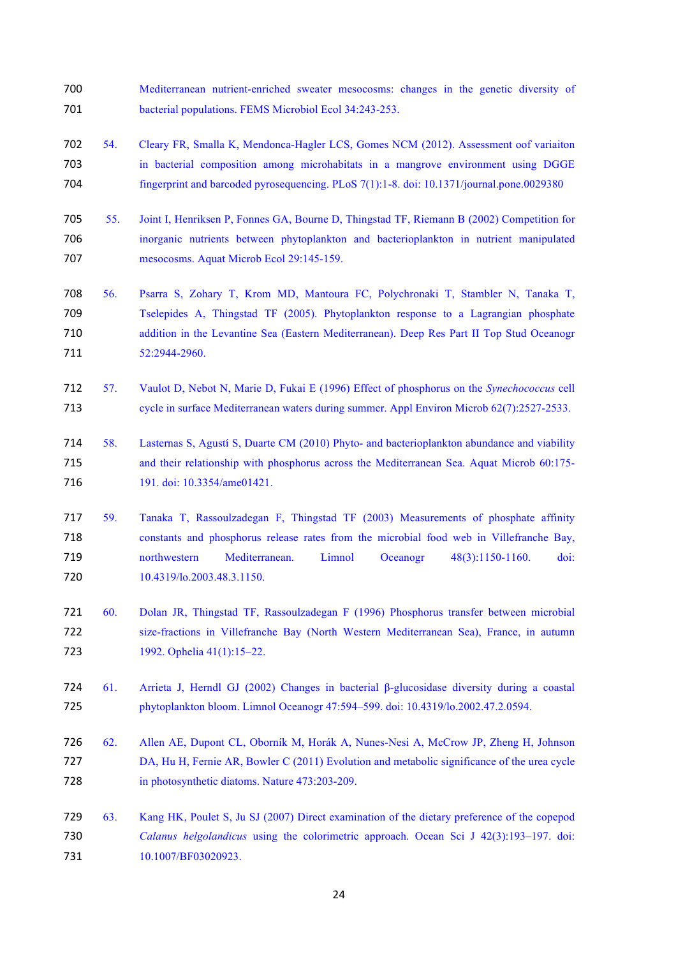- Mediterranean nutrient-enriched sweater mesocosms: changes in the genetic diversity of bacterial populations. FEMS Microbiol Ecol 34:243-253.
- 54. Cleary FR, Smalla K, Mendonca-Hagler LCS, Gomes NCM (2012). Assessment oof variaiton in bacterial composition among microhabitats in a mangrove environment using DGGE fingerprint and barcoded pyrosequencing. PLoS 7(1):1-8. doi: 10.1371/journal.pone.0029380
- 55. Joint I, Henriksen P, Fonnes GA, Bourne D, Thingstad TF, Riemann B (2002) Competition for inorganic nutrients between phytoplankton and bacterioplankton in nutrient manipulated mesocosms. Aquat Microb Ecol 29:145-159.
- 56. Psarra S, Zohary T, Krom MD, Mantoura FC, Polychronaki T, Stambler N, Tanaka T, Tselepides A, Thingstad TF (2005). Phytoplankton response to a Lagrangian phosphate addition in the Levantine Sea (Eastern Mediterranean). Deep Res Part II Top Stud Oceanogr 52:2944-2960.
- 57. Vaulot D, Nebot N, Marie D, Fukai E (1996) Effect of phosphorus on the *Synechococcus* cell cycle in surface Mediterranean waters during summer. Appl Environ Microb 62(7):2527-2533.
- 58. Lasternas S, Agustí S, Duarte CM (2010) Phyto- and bacterioplankton abundance and viability and their relationship with phosphorus across the Mediterranean Sea. Aquat Microb 60:175- 716 191. doi: 10.3354/ame01421.
- 59. Tanaka T, Rassoulzadegan F, Thingstad TF (2003) Measurements of phosphate affinity constants and phosphorus release rates from the microbial food web in Villefranche Bay, northwestern Mediterranean. Limnol Oceanogr 48(3):1150-1160. doi: 10.4319/lo.2003.48.3.1150.
- 60. Dolan JR, Thingstad TF, Rassoulzadegan F (1996) Phosphorus transfer between microbial size-fractions in Villefranche Bay (North Western Mediterranean Sea), France, in autumn 1992. Ophelia 41(1):15–22.
- 61. Arrieta J, Herndl GJ (2002) Changes in bacterial β-glucosidase diversity during a coastal phytoplankton bloom. Limnol Oceanogr 47:594–599. doi: 10.4319/lo.2002.47.2.0594.
- 62. Allen AE, Dupont CL, Oborník M, Horák A, Nunes-Nesi A, McCrow JP, Zheng H, Johnson DA, Hu H, Fernie AR, Bowler C (2011) Evolution and metabolic significance of the urea cycle in photosynthetic diatoms. Nature 473:203-209.
- 63. Kang HK, Poulet S, Ju SJ (2007) Direct examination of the dietary preference of the copepod *Calanus helgolandicus* using the colorimetric approach. Ocean Sci J 42(3):193–197. doi: 731 10.1007/BF03020923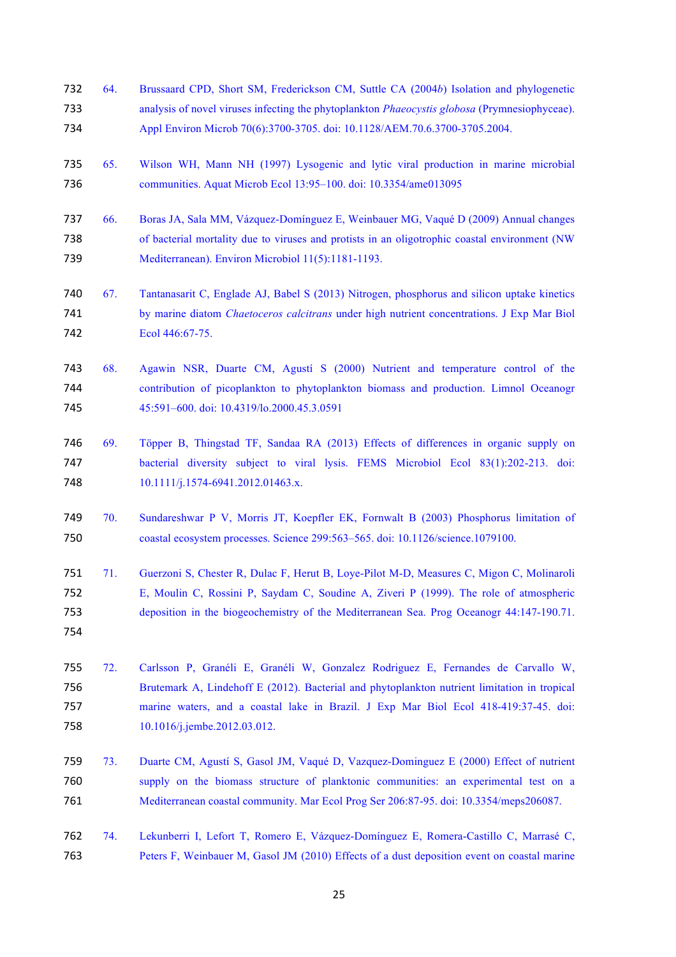- 64. Brussaard CPD, Short SM, Frederickson CM, Suttle CA (2004*b*) Isolation and phylogenetic analysis of novel viruses infecting the phytoplankton *Phaeocystis globosa* (Prymnesiophyceae). Appl Environ Microb 70(6):3700-3705. doi: 10.1128/AEM.70.6.3700-3705.2004. 65. Wilson WH, Mann NH (1997) Lysogenic and lytic viral production in marine microbial communities. Aquat Microb Ecol 13:95–100. doi: 10.3354/ame013095 66. Boras JA, Sala MM, Vázquez-Domínguez E, Weinbauer MG, Vaqué D (2009) Annual changes of bacterial mortality due to viruses and protists in an oligotrophic coastal environment (NW Mediterranean). Environ Microbiol 11(5):1181-1193. 67. Tantanasarit C, Englade AJ, Babel S (2013) Nitrogen, phosphorus and silicon uptake kinetics by marine diatom *Chaetoceros calcitrans* under high nutrient concentrations. J Exp Mar Biol Ecol 446:67-75. 68. Agawin NSR, Duarte CM, Agustí S (2000) Nutrient and temperature control of the contribution of picoplankton to phytoplankton biomass and production. Limnol Oceanogr 45:591–600. doi: 10.4319/lo.2000.45.3.0591 69. Töpper B, Thingstad TF, Sandaa RA (2013) Effects of differences in organic supply on bacterial diversity subject to viral lysis. FEMS Microbiol Ecol 83(1):202-213. doi: 748 10.1111/j.1574-6941.2012.01463.x. 70. Sundareshwar P V, Morris JT, Koepfler EK, Fornwalt B (2003) Phosphorus limitation of coastal ecosystem processes. Science 299:563–565. doi: 10.1126/science.1079100. 71. Guerzoni S, Chester R, Dulac F, Herut B, Loye-Pilot M-D, Measures C, Migon C, Molinaroli E, Moulin C, Rossini P, Saydam C, Soudine A, Ziveri P (1999). The role of atmospheric deposition in the biogeochemistry of the Mediterranean Sea. Prog Oceanogr 44:147-190.71.
- 72. Carlsson P, Granéli E, Granéli W, Gonzalez Rodriguez E, Fernandes de Carvallo W, Brutemark A, Lindehoff E (2012). Bacterial and phytoplankton nutrient limitation in tropical marine waters, and a coastal lake in Brazil. J Exp Mar Biol Ecol 418-419:37-45. doi: 10.1016/j.jembe.2012.03.012.
- 73. Duarte CM, Agustí S, Gasol JM, Vaqué D, Vazquez-Dominguez E (2000) Effect of nutrient supply on the biomass structure of planktonic communities: an experimental test on a Mediterranean coastal community. Mar Ecol Prog Ser 206:87-95. doi: 10.3354/meps206087.
- 74. Lekunberri I, Lefort T, Romero E, Vázquez-Domínguez E, Romera-Castillo C, Marrasé C, Peters F, Weinbauer M, Gasol JM (2010) Effects of a dust deposition event on coastal marine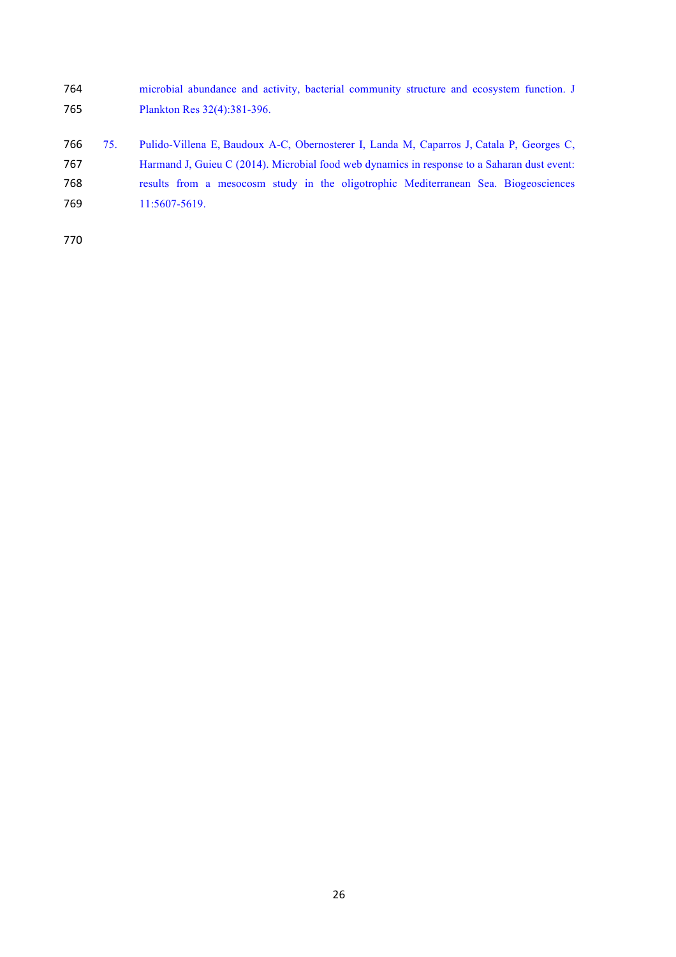microbial abundance and activity, bacterial community structure and ecosystem function. J Plankton Res 32(4):381-396.

 75. Pulido-Villena E, Baudoux A-C, Obernosterer I, Landa M, Caparros J, Catala P, Georges C, Harmand J, Guieu C (2014). Microbial food web dynamics in response to a Saharan dust event: results from a mesocosm study in the oligotrophic Mediterranean Sea. Biogeosciences 11:5607-5619.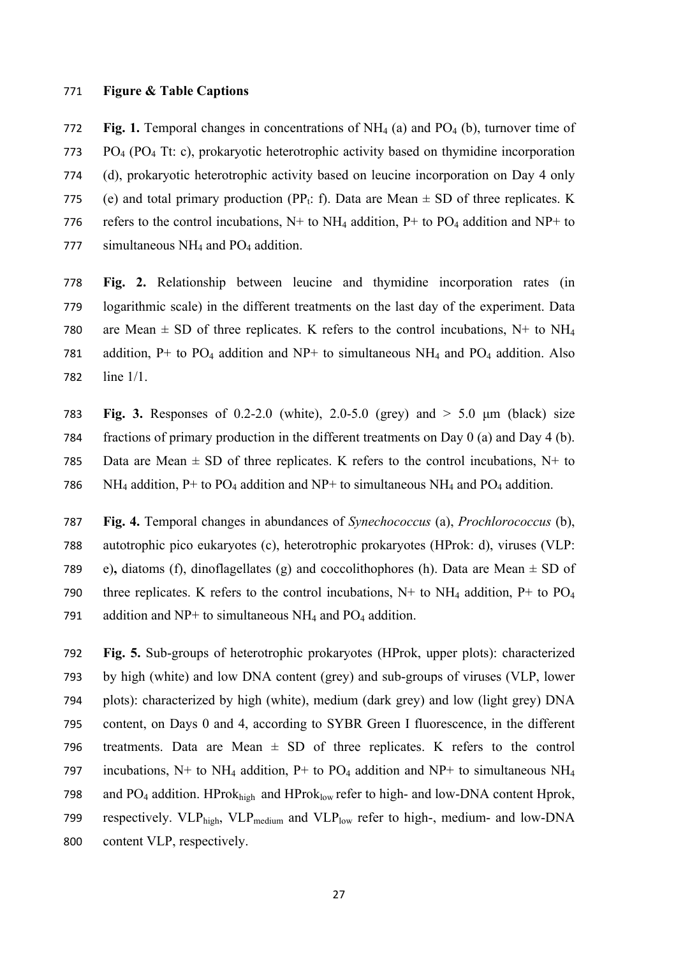# 771 **Figure & Table Captions**

772 **Fig. 1.** Temporal changes in concentrations of NH<sub>4</sub> (a) and PO<sub>4</sub> (b), turnover time of 773 PO4 (PO4 Tt: c), prokaryotic heterotrophic activity based on thymidine incorporation 774 (d), prokaryotic heterotrophic activity based on leucine incorporation on Day 4 only 775 (e) and total primary production (PP<sub>t</sub>: f). Data are Mean  $\pm$  SD of three replicates. K 776 refers to the control incubations,  $N+$  to  $NH_4$  addition,  $P+$  to  $PO_4$  addition and  $NP+$  to 777 simultaneous  $NH_4$  and  $PO_4$  addition.

778 **Fig. 2.** Relationship between leucine and thymidine incorporation rates (in 779 logarithmic scale) in the different treatments on the last day of the experiment. Data 780 are Mean  $\pm$  SD of three replicates. K refers to the control incubations, N+ to NH<sub>4</sub> 781 addition, P+ to  $PO_4$  addition and NP+ to simultaneous NH<sub>4</sub> and  $PO_4$  addition. Also 782 line 1/1.

783 **Fig. 3.** Responses of 0.2-2.0 (white), 2.0-5.0 (grey) and > 5.0 µm (black) size 784 fractions of primary production in the different treatments on Day 0 (a) and Day 4 (b). 785 Data are Mean  $\pm$  SD of three replicates. K refers to the control incubations, N+ to 786 NH<sub>4</sub> addition, P+ to PO<sub>4</sub> addition and NP+ to simultaneous NH<sub>4</sub> and PO<sub>4</sub> addition.

787 **Fig. 4.** Temporal changes in abundances of *Synechococcus* (a), *Prochlorococcus* (b), 788 autotrophic pico eukaryotes (c), heterotrophic prokaryotes (HProk: d), viruses (VLP: 789 e), diatoms (f), dinoflagellates (g) and coccolithophores (h). Data are Mean  $\pm$  SD of 790 three replicates. K refers to the control incubations,  $N$ + to  $NH<sub>4</sub>$  addition, P+ to PO<sub>4</sub> 791 addition and NP+ to simultaneous NH<sub>4</sub> and PO<sub>4</sub> addition.

792 **Fig. 5.** Sub-groups of heterotrophic prokaryotes (HProk, upper plots): characterized 793 by high (white) and low DNA content (grey) and sub-groups of viruses (VLP, lower 794 plots): characterized by high (white), medium (dark grey) and low (light grey) DNA 795 content, on Days 0 and 4, according to SYBR Green I fluorescence, in the different 796 treatments. Data are Mean  $\pm$  SD of three replicates. K refers to the control 797 incubations,  $N+$  to  $NH_4$  addition,  $P+$  to  $PO_4$  addition and  $NP+$  to simultaneous  $NH_4$ 798 and PO<sub>4</sub> addition. HProk<sub>high</sub> and HProk<sub>low</sub> refer to high- and low-DNA content Hprok, 799 respectively. VLP<sub>high</sub>, VLP<sub>medium</sub> and VLP<sub>low</sub> refer to high-, medium- and low-DNA 800 content VLP, respectively.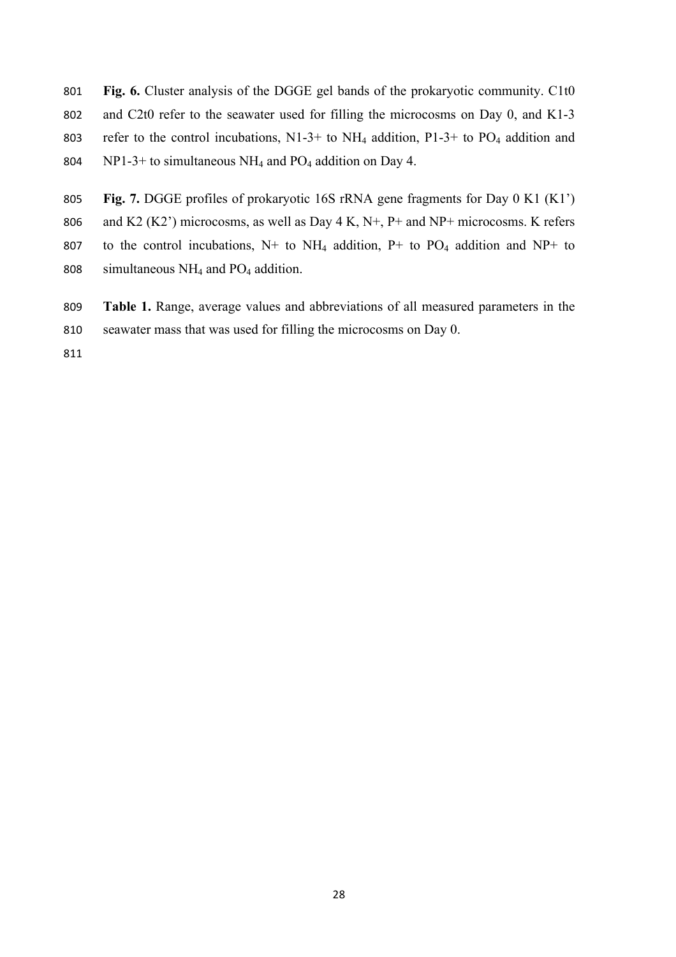- **Fig. 6.** Cluster analysis of the DGGE gel bands of the prokaryotic community. C1t0 and C2t0 refer to the seawater used for filling the microcosms on Day 0, and K1-3 803 refer to the control incubations,  $N1-3+$  to  $NH_4$  addition, P1-3+ to PO<sub>4</sub> addition and 804 NP1-3+ to simultaneous  $NH_4$  and PO<sub>4</sub> addition on Day 4.
- **Fig. 7.** DGGE profiles of prokaryotic 16S rRNA gene fragments for Day 0 K1 (K1') 806 and K2 (K2') microcosms, as well as Day 4 K,  $N+$ ,  $P+$  and  $NP+$  microcosms. K refers 807 to the control incubations,  $N+$  to  $NH_4$  addition,  $P+$  to PO<sub>4</sub> addition and NP+ to simultaneous NH4 and PO4 addition.
- **Table 1.** Range, average values and abbreviations of all measured parameters in the seawater mass that was used for filling the microcosms on Day 0.
-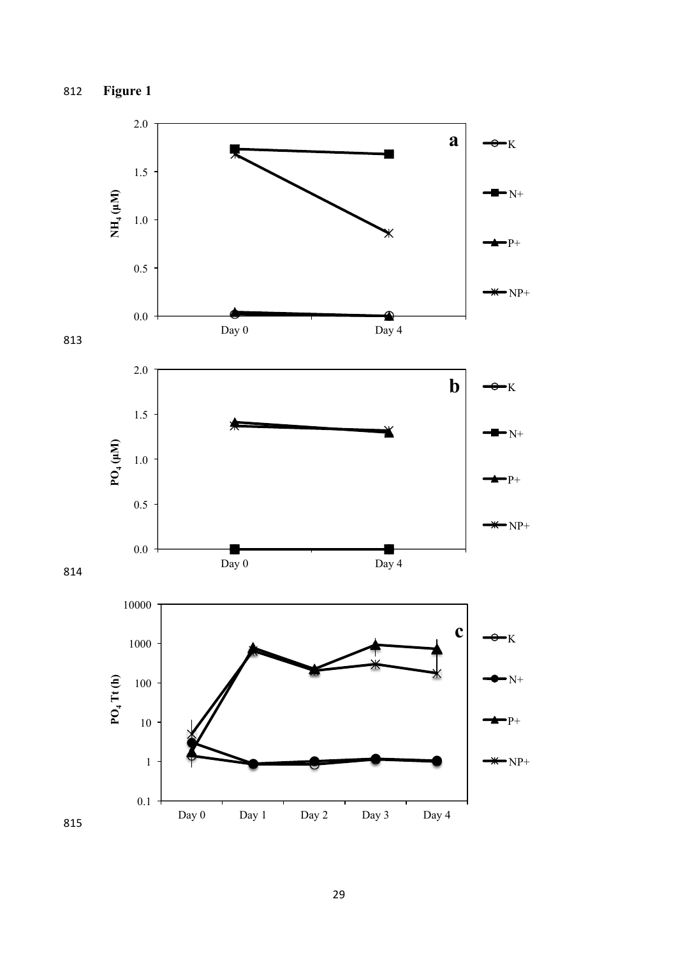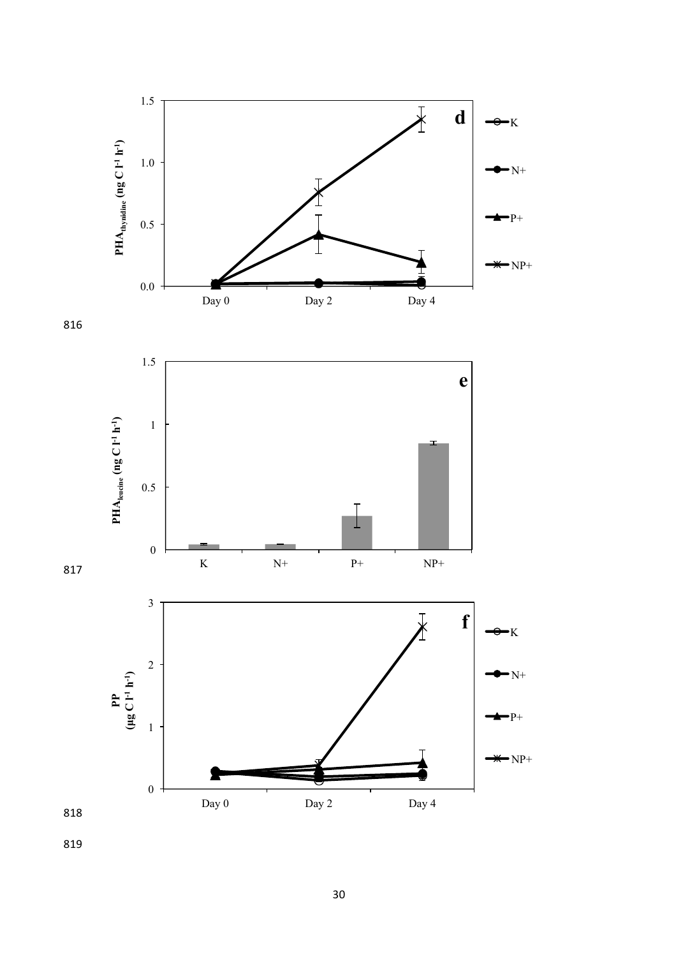







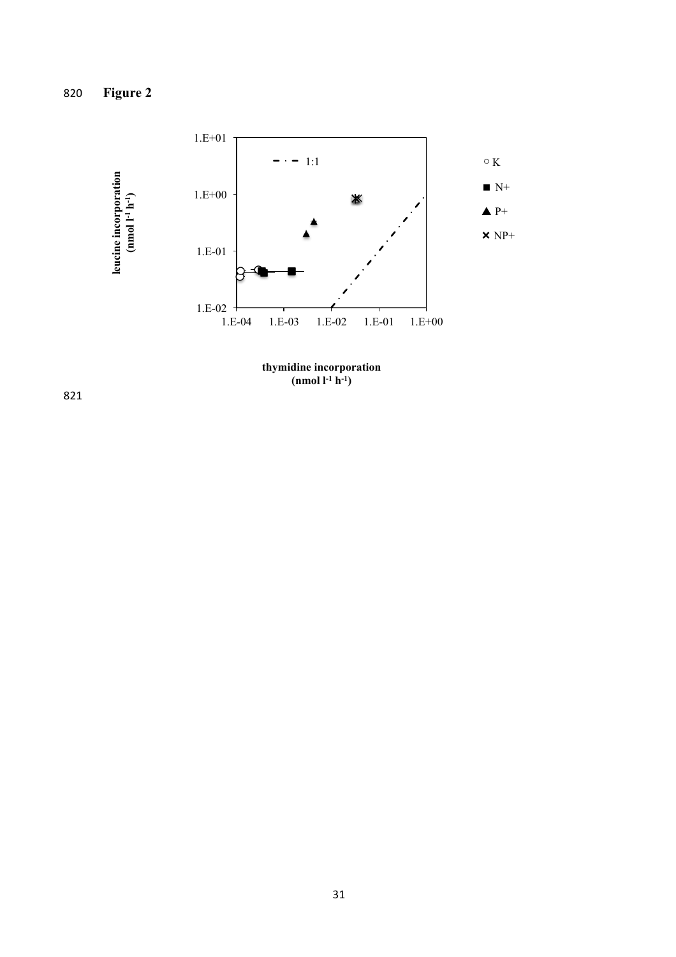

**(nmol l-1 h-1)**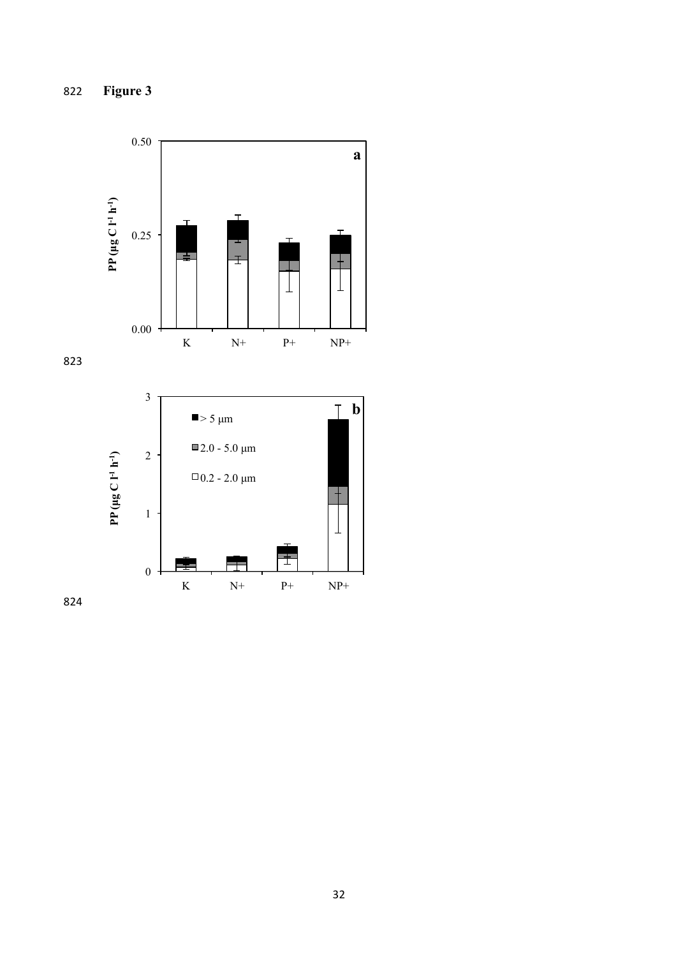

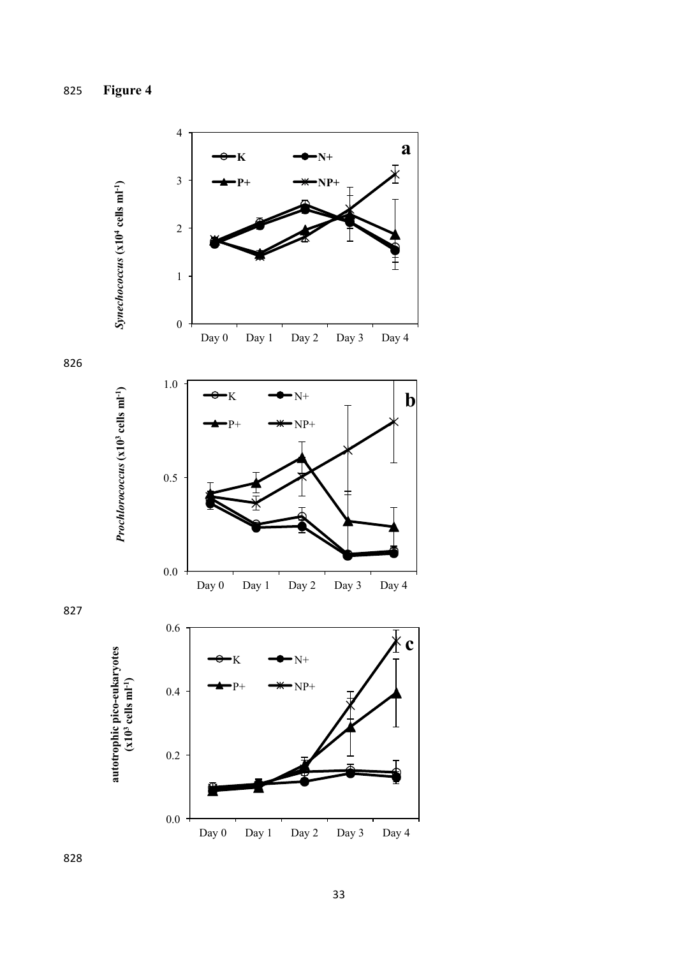827

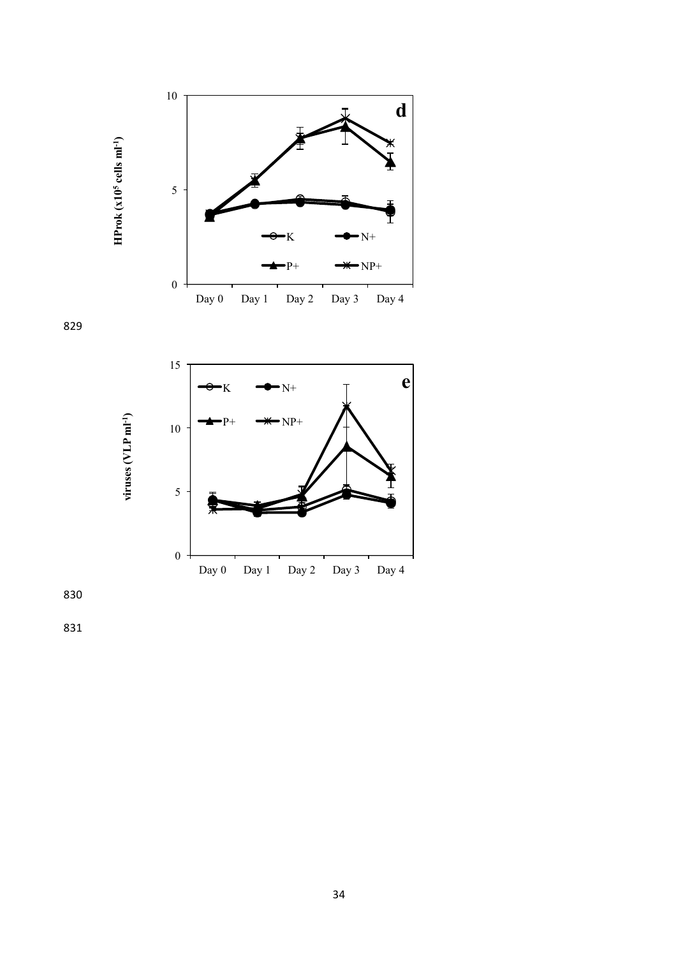

**HProk (x105 cells ml-1)** 

 $HP$ rok (x10<sup>5</sup> cells ml<sup>-1</sup>)

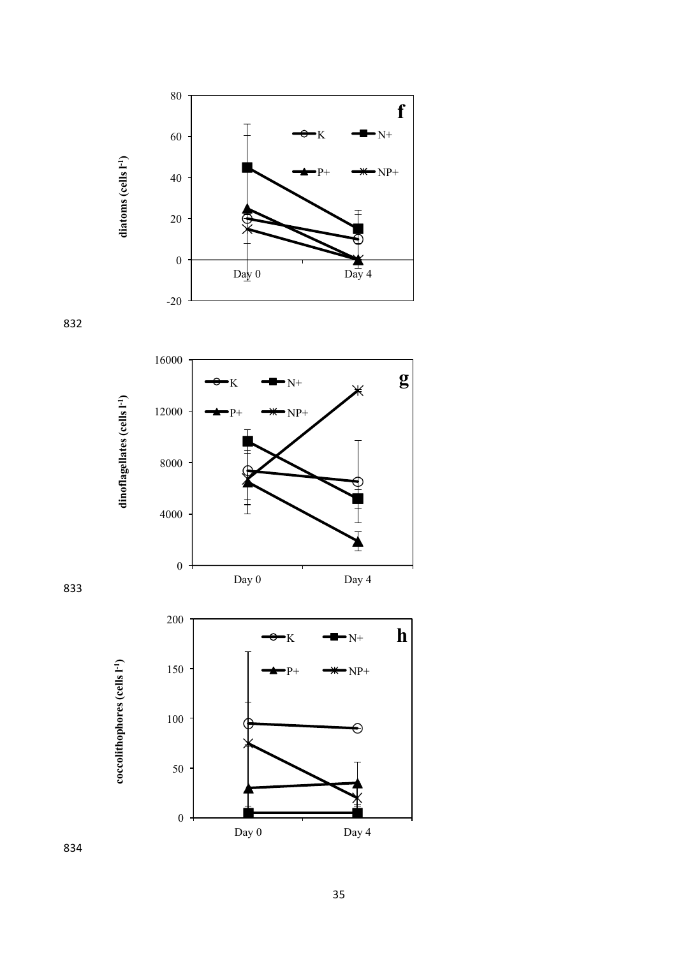



16000





**dinoflagellates (cells l-1)** 

dinoflagellates (cells l<sup>-1</sup>)



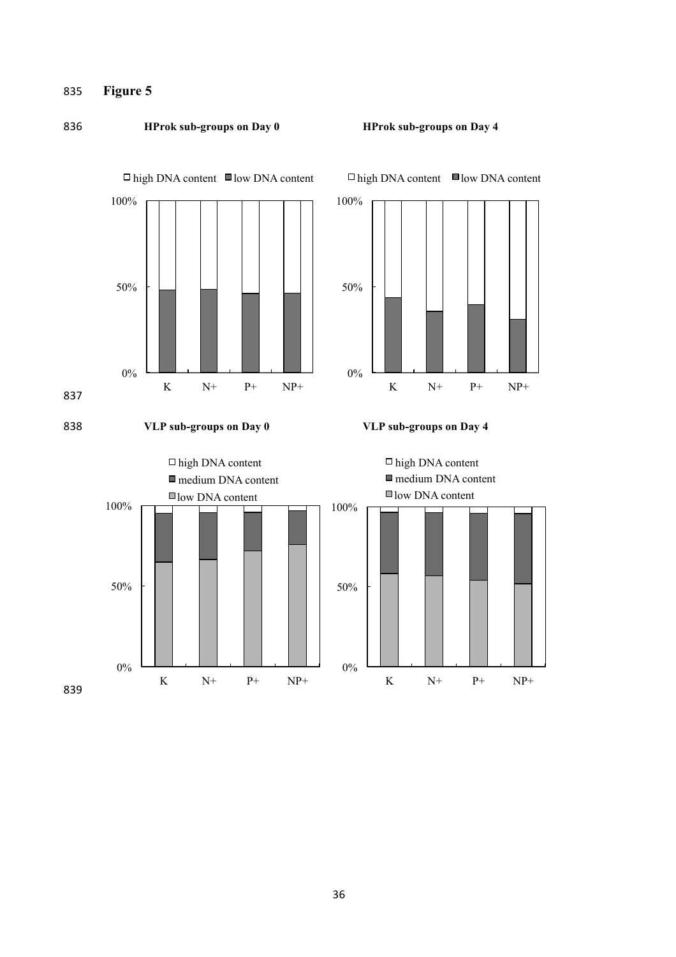# 835 **Figure 5**

## 836 **HProk sub-groups on Day 0 HProk sub-groups on Day 4**









 $\Box$  high DNA content  $\Box$  low DNA content

0% 50% 100% high DNA content ■ medium DNA content ■low DNA content

K N+ P+ NP+

839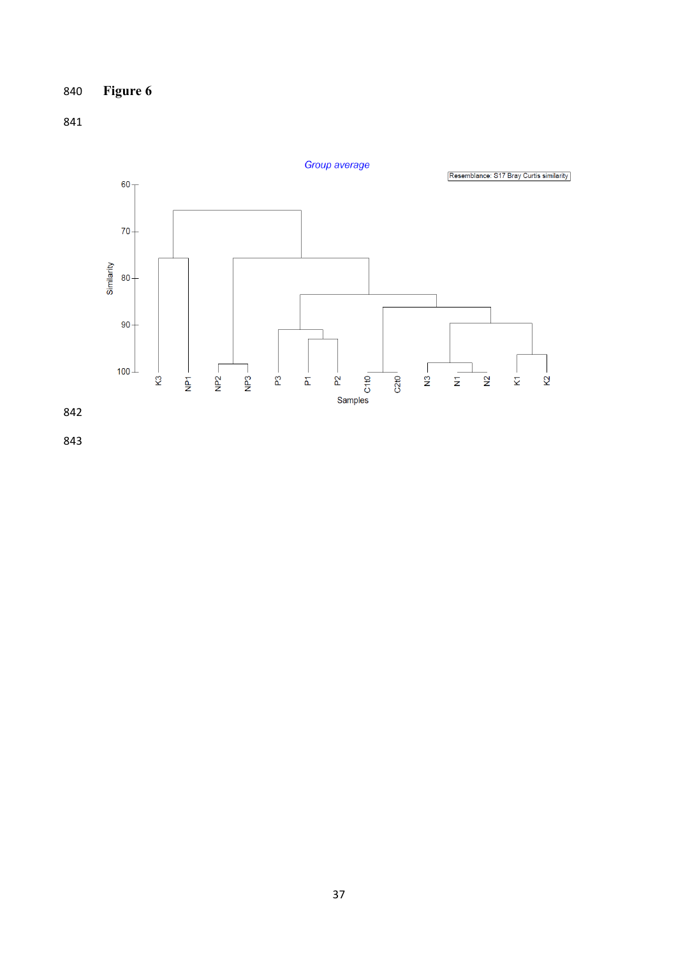# **Figure 6**